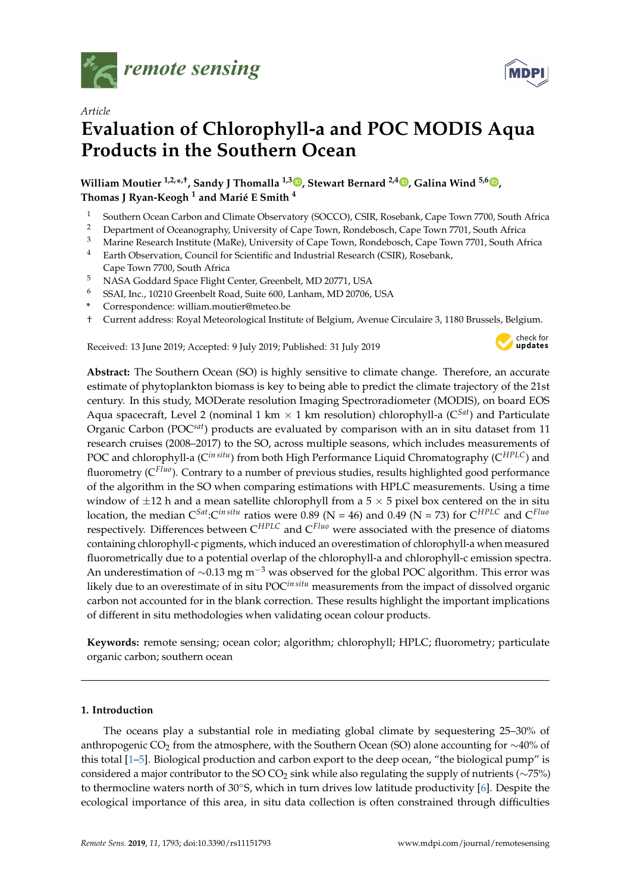



# **Evaluation of Chlorophyll-a and POC MODIS Aqua Products in the Southern Ocean**

**William Moutier 1,2,\* ,†, Sandy J Thomalla 1,3 [,](https://orcid.org/0000-0002-6802-520X) Stewart Bernard 2,4 [,](https://orcid.org/0000-0001-6537-3682) Galina Wind 5,6 [,](https://orcid.org/0000-0002-1001-3724) Thomas J Ryan-Keogh <sup>1</sup> and Marié E Smith <sup>4</sup>**

- <sup>1</sup> Southern Ocean Carbon and Climate Observatory (SOCCO), CSIR, Rosebank, Cape Town 7700, South Africa<br><sup>2</sup> Department of Oceanography University of Cape Town Bandabaseb, Cape Town 7701, South Africa
- <sup>2</sup> Department of Oceanography, University of Cape Town, Rondebosch, Cape Town 7701, South Africa<br><sup>3</sup> Marina Bassarah Institute (MaBe), University of Cape Town, Bandabasch, Cape Town 7701, South Afr
- <sup>3</sup> Marine Research Institute (MaRe), University of Cape Town, Rondebosch, Cape Town 7701, South Africa<br><sup>4</sup> Earth Observation, Council for Scientific and Industrial Basearch (CSIB), Basebank
- <sup>4</sup> Earth Observation, Council for Scientific and Industrial Research (CSIR), Rosebank, Cape Town 7700, South Africa
- <sup>5</sup> NASA Goddard Space Flight Center, Greenbelt, MD 20771, USA
- <sup>6</sup> SSAI, Inc., 10210 Greenbelt Road, Suite 600, Lanham, MD 20706, USA
- **\*** Correspondence: william.moutier@meteo.be
- † Current address: Royal Meteorological Institute of Belgium, Avenue Circulaire 3, 1180 Brussels, Belgium.

Received: 13 June 2019; Accepted: 9 July 2019; Published: 31 July 2019



**MDPI** 

**Abstract:** The Southern Ocean (SO) is highly sensitive to climate change. Therefore, an accurate estimate of phytoplankton biomass is key to being able to predict the climate trajectory of the 21st century. In this study, MODerate resolution Imaging Spectroradiometer (MODIS), on board EOS Aqua spacecraft, Level 2 (nominal 1 km  $\times$  1 km resolution) chlorophyll-a ( $C<sup>Sat</sup>$ ) and Particulate Organic Carbon (POC*sat*) products are evaluated by comparison with an in situ dataset from 11 research cruises (2008–2017) to the SO, across multiple seasons, which includes measurements of POC and chlorophyll-a (C*in situ*) from both High Performance Liquid Chromatography (C*HPLC*) and fluorometry (C*Fluo*). Contrary to a number of previous studies, results highlighted good performance of the algorithm in the SO when comparing estimations with HPLC measurements. Using a time window of  $\pm 12$  h and a mean satellite chlorophyll from a 5  $\times$  5 pixel box centered on the in situ location, the median C*Sat*:C*in situ* ratios were 0.89 (N = 46) and 0.49 (N = 73) for C*HPLC* and C*Fluo* respectively. Differences between C*HPLC* and C*Fluo* were associated with the presence of diatoms containing chlorophyll-c pigments, which induced an overestimation of chlorophyll-a when measured fluorometrically due to a potential overlap of the chlorophyll-a and chlorophyll-c emission spectra. An underestimation of  $\sim$ 0.13 mg m<sup>-3</sup> was observed for the global POC algorithm. This error was likely due to an overestimate of in situ POC*in situ* measurements from the impact of dissolved organic carbon not accounted for in the blank correction. These results highlight the important implications of different in situ methodologies when validating ocean colour products.

**Keywords:** remote sensing; ocean color; algorithm; chlorophyll; HPLC; fluorometry; particulate organic carbon; southern ocean

## **1. Introduction**

The oceans play a substantial role in mediating global climate by sequestering 25–30% of anthropogenic CO<sup>2</sup> from the atmosphere, with the Southern Ocean (SO) alone accounting for ∼40% of this total [\[1](#page-13-0)[–5\]](#page-14-0). Biological production and carbon export to the deep ocean, "the biological pump" is considered a major contributor to the SO CO<sub>2</sub> sink while also regulating the supply of nutrients ( $\sim$ 75%) to thermocline waters north of 30◦S, which in turn drives low latitude productivity [\[6\]](#page-14-1). Despite the ecological importance of this area, in situ data collection is often constrained through difficulties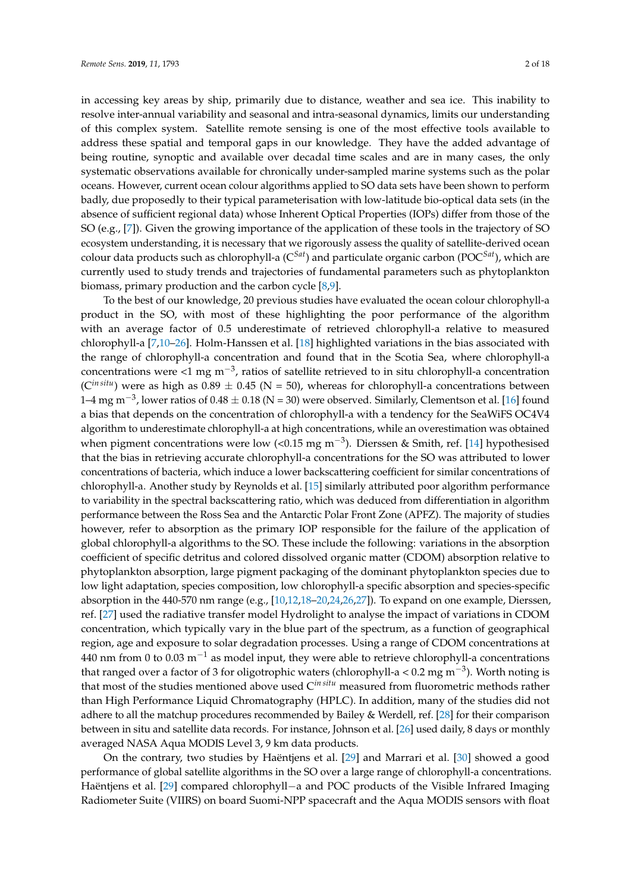in accessing key areas by ship, primarily due to distance, weather and sea ice. This inability to resolve inter-annual variability and seasonal and intra-seasonal dynamics, limits our understanding of this complex system. Satellite remote sensing is one of the most effective tools available to address these spatial and temporal gaps in our knowledge. They have the added advantage of being routine, synoptic and available over decadal time scales and are in many cases, the only systematic observations available for chronically under-sampled marine systems such as the polar oceans. However, current ocean colour algorithms applied to SO data sets have been shown to perform badly, due proposedly to their typical parameterisation with low-latitude bio-optical data sets (in the absence of sufficient regional data) whose Inherent Optical Properties (IOPs) differ from those of the SO (e.g., [\[7\]](#page-14-2)). Given the growing importance of the application of these tools in the trajectory of SO ecosystem understanding, it is necessary that we rigorously assess the quality of satellite-derived ocean colour data products such as chlorophyll-a (C*Sat*) and particulate organic carbon (POC*Sat*), which are currently used to study trends and trajectories of fundamental parameters such as phytoplankton biomass, primary production and the carbon cycle [\[8](#page-14-3)[,9\]](#page-14-4).

To the best of our knowledge, 20 previous studies have evaluated the ocean colour chlorophyll-a product in the SO, with most of these highlighting the poor performance of the algorithm with an average factor of 0.5 underestimate of retrieved chlorophyll-a relative to measured chlorophyll-a [\[7](#page-14-2)[,10](#page-14-5)[–26\]](#page-15-0). Holm-Hanssen et al. [\[18\]](#page-14-6) highlighted variations in the bias associated with the range of chlorophyll-a concentration and found that in the Scotia Sea, where chlorophyll-a concentrations were <1 mg m<sup>-3</sup>, ratios of satellite retrieved to in situ chlorophyll-a concentration ( $C^{in situ}$ ) were as high as  $0.89 \pm 0.45$  (N = 50), whereas for chlorophyll-a concentrations between 1–4 mg m<sup>-3</sup>, lower ratios of 0.48  $\pm$  0.18 (N = 30) were observed. Similarly, Clementson et al. [\[16\]](#page-14-7) found a bias that depends on the concentration of chlorophyll-a with a tendency for the SeaWiFS OC4V4 algorithm to underestimate chlorophyll-a at high concentrations, while an overestimation was obtained when pigment concentrations were low (<0.15 mg m<sup>-3</sup>). Dierssen & Smith, ref. [\[14\]](#page-14-8) hypothesised that the bias in retrieving accurate chlorophyll-a concentrations for the SO was attributed to lower concentrations of bacteria, which induce a lower backscattering coefficient for similar concentrations of chlorophyll-a. Another study by Reynolds et al. [\[15\]](#page-14-9) similarly attributed poor algorithm performance to variability in the spectral backscattering ratio, which was deduced from differentiation in algorithm performance between the Ross Sea and the Antarctic Polar Front Zone (APFZ). The majority of studies however, refer to absorption as the primary IOP responsible for the failure of the application of global chlorophyll-a algorithms to the SO. These include the following: variations in the absorption coefficient of specific detritus and colored dissolved organic matter (CDOM) absorption relative to phytoplankton absorption, large pigment packaging of the dominant phytoplankton species due to low light adaptation, species composition, low chlorophyll-a specific absorption and species-specific absorption in the 440-570 nm range (e.g., [\[10,](#page-14-5)[12](#page-14-10)[,18–](#page-14-6)[20,](#page-14-11)[24,](#page-14-12)[26,](#page-15-0)[27\]](#page-15-1)). To expand on one example, Dierssen, ref. [\[27\]](#page-15-1) used the radiative transfer model Hydrolight to analyse the impact of variations in CDOM concentration, which typically vary in the blue part of the spectrum, as a function of geographical region, age and exposure to solar degradation processes. Using a range of CDOM concentrations at 440 nm from 0 to 0.03  $m^{-1}$  as model input, they were able to retrieve chlorophyll-a concentrations that ranged over a factor of 3 for oligotrophic waters (chlorophyll-a < 0.2 mg m<sup>-3</sup>). Worth noting is that most of the studies mentioned above used C*in situ* measured from fluorometric methods rather than High Performance Liquid Chromatography (HPLC). In addition, many of the studies did not adhere to all the matchup procedures recommended by Bailey & Werdell, ref. [\[28\]](#page-15-2) for their comparison between in situ and satellite data records. For instance, Johnson et al. [\[26\]](#page-15-0) used daily, 8 days or monthly averaged NASA Aqua MODIS Level 3, 9 km data products.

On the contrary, two studies by Haëntjens et al. [\[29\]](#page-15-3) and Marrari et al. [\[30\]](#page-15-4) showed a good performance of global satellite algorithms in the SO over a large range of chlorophyll-a concentrations. Haëntjens et al. [\[29\]](#page-15-3) compared chlorophyll−a and POC products of the Visible Infrared Imaging Radiometer Suite (VIIRS) on board Suomi-NPP spacecraft and the Aqua MODIS sensors with float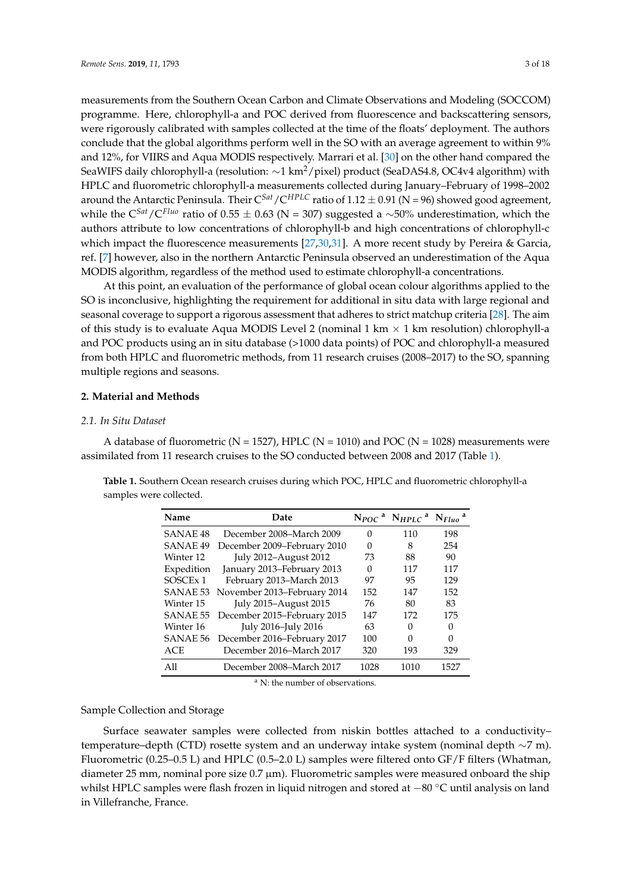measurements from the Southern Ocean Carbon and Climate Observations and Modeling (SOCCOM) programme. Here, chlorophyll-a and POC derived from fluorescence and backscattering sensors, were rigorously calibrated with samples collected at the time of the floats' deployment. The authors conclude that the global algorithms perform well in the SO with an average agreement to within 9% and 12%, for VIIRS and Aqua MODIS respectively. Marrari et al. [\[30\]](#page-15-4) on the other hand compared the SeaWIFS daily chlorophyll-a (resolution: ∼1 km<sup>2</sup>/pixel) product (SeaDAS4.8, OC4v4 algorithm) with HPLC and fluorometric chlorophyll-a measurements collected during January–February of 1998–2002 around the Antarctic Peninsula. Their  $C^{Sat}/C^{HPLC}$  ratio of 1.12  $\pm$  0.91 (N = 96) showed good agreement, while the C*Sat*/C*Fluo* ratio of 0.55 ± 0.63 (N = 307) suggested a ∼50% underestimation, which the authors attribute to low concentrations of chlorophyll-b and high concentrations of chlorophyll-c which impact the fluorescence measurements [\[27](#page-15-1)[,30](#page-15-4)[,31\]](#page-15-5). A more recent study by Pereira & Garcia, ref. [\[7\]](#page-14-2) however, also in the northern Antarctic Peninsula observed an underestimation of the Aqua MODIS algorithm, regardless of the method used to estimate chlorophyll-a concentrations.

At this point, an evaluation of the performance of global ocean colour algorithms applied to the SO is inconclusive, highlighting the requirement for additional in situ data with large regional and seasonal coverage to support a rigorous assessment that adheres to strict matchup criteria [\[28\]](#page-15-2). The aim of this study is to evaluate Aqua MODIS Level 2 (nominal 1 km  $\times$  1 km resolution) chlorophyll-a and POC products using an in situ database (>1000 data points) of POC and chlorophyll-a measured from both HPLC and fluorometric methods, from 11 research cruises (2008–2017) to the SO, spanning multiple regions and seasons.

## **2. Material and Methods**

### *2.1. In Situ Dataset*

A database of fluorometric ( $N = 1527$ ), HPLC ( $N = 1010$ ) and POC ( $N = 1028$ ) measurements were assimilated from 11 research cruises to the SO conducted between 2008 and 2017 (Table [1\)](#page-2-0).

<span id="page-2-0"></span>**Table 1.** Southern Ocean research cruises during which POC, HPLC and fluorometric chlorophyll-a samples were collected.

| Name                 | Date                        |      | $N_{POC}$ <sup>a</sup> $N_{HPLC}$ <sup>a</sup> $N_{Fluo}$ <sup>a</sup> |      |
|----------------------|-----------------------------|------|------------------------------------------------------------------------|------|
| SANAE <sub>48</sub>  | December 2008–March 2009    | 0    | 110                                                                    | 198  |
| SANAE <sub>49</sub>  | December 2009–February 2010 | 0    | 8                                                                      | 254  |
| Winter 12            | July 2012-August 2012       | 73   | 88                                                                     | 90   |
| Expedition           | January 2013-February 2013  | 0    | 117                                                                    | 117  |
| SOSCE <sub>x</sub> 1 | February 2013-March 2013    | 97   | 95                                                                     | 129  |
| SANAE <sub>53</sub>  | November 2013-February 2014 | 152  | 147                                                                    | 152  |
| Winter 15            | July 2015-August 2015       | 76   | 80                                                                     | 83   |
| <b>SANAE 55</b>      | December 2015–February 2015 | 147  | 172                                                                    | 175  |
| Winter 16            | July 2016-July 2016         | 63   | 0                                                                      | 0    |
| <b>SANAE 56</b>      | December 2016-February 2017 | 100  | 0                                                                      | 0    |
| <b>ACE</b>           | December 2016-March 2017    | 320  | 193                                                                    | 329  |
| All                  | December 2008–March 2017    | 1028 | 1010                                                                   | 1527 |

<sup>a</sup> N: the number of observations.

## Sample Collection and Storage

Surface seawater samples were collected from niskin bottles attached to a conductivity– temperature–depth (CTD) rosette system and an underway intake system (nominal depth ∼7 m). Fluorometric (0.25–0.5 L) and HPLC (0.5–2.0 L) samples were filtered onto GF/F filters (Whatman, diameter 25 mm, nominal pore size  $0.7 \mu m$ ). Fluorometric samples were measured onboard the ship whilst HPLC samples were flash frozen in liquid nitrogen and stored at −80 ◦C until analysis on land in Villefranche, France.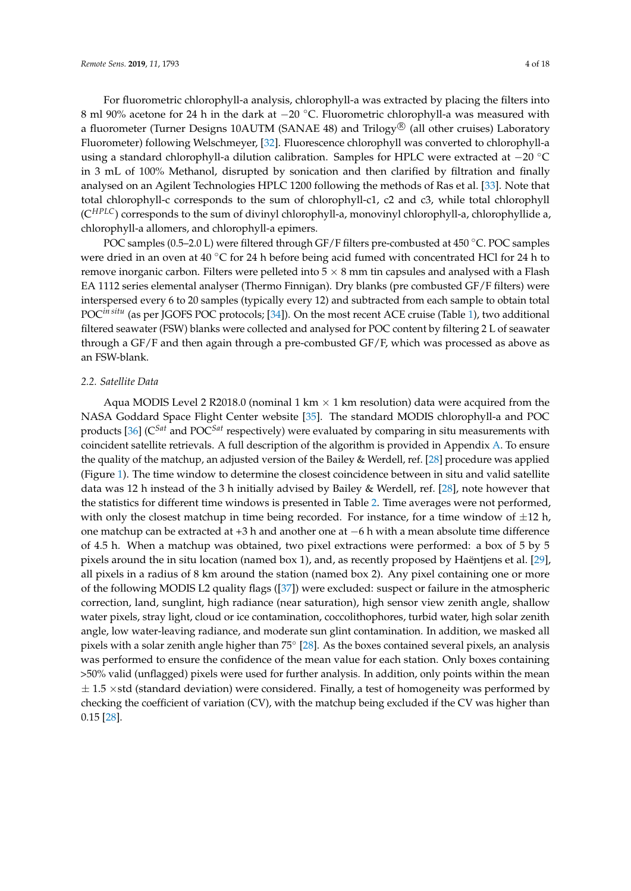For fluorometric chlorophyll-a analysis, chlorophyll-a was extracted by placing the filters into 8 ml 90% acetone for 24 h in the dark at −20 ◦C. Fluorometric chlorophyll-a was measured with a fluorometer (Turner Designs 10AUTM (SANAE 48) and Trilogy $^{\circledR}$  (all other cruises) Laboratory Fluorometer) following Welschmeyer, [\[32\]](#page-15-6). Fluorescence chlorophyll was converted to chlorophyll-a using a standard chlorophyll-a dilution calibration. Samples for HPLC were extracted at −20 ◦C in 3 mL of 100% Methanol, disrupted by sonication and then clarified by filtration and finally analysed on an Agilent Technologies HPLC 1200 following the methods of Ras et al. [\[33\]](#page-15-7). Note that total chlorophyll-c corresponds to the sum of chlorophyll-c1, c2 and c3, while total chlorophyll (C*HPLC*) corresponds to the sum of divinyl chlorophyll-a, monovinyl chlorophyll-a, chlorophyllide a, chlorophyll-a allomers, and chlorophyll-a epimers.

POC samples (0.5–2.0 L) were filtered through GF/F filters pre-combusted at 450 ◦C. POC samples were dried in an oven at 40 °C for 24 h before being acid fumed with concentrated HCl for 24 h to remove inorganic carbon. Filters were pelleted into  $5 \times 8$  mm tin capsules and analysed with a Flash EA 1112 series elemental analyser (Thermo Finnigan). Dry blanks (pre combusted GF/F filters) were interspersed every 6 to 20 samples (typically every 12) and subtracted from each sample to obtain total POC*in situ* (as per JGOFS POC protocols; [\[34\]](#page-15-8)). On the most recent ACE cruise (Table [1\)](#page-2-0), two additional filtered seawater (FSW) blanks were collected and analysed for POC content by filtering 2 L of seawater through a GF/F and then again through a pre-combusted GF/F, which was processed as above as an FSW-blank.

### <span id="page-3-0"></span>*2.2. Satellite Data*

Aqua MODIS Level 2 R2018.0 (nominal 1 km  $\times$  1 km resolution) data were acquired from the NASA Goddard Space Flight Center website [\[35\]](#page-15-9). The standard MODIS chlorophyll-a and POC products [\[36\]](#page-15-10) (C*Sat* and POC*Sat* respectively) were evaluated by comparing in situ measurements with coincident satellite retrievals. A full description of the algorithm is provided in Appendix [A.](#page-13-1) To ensure the quality of the matchup, an adjusted version of the Bailey & Werdell, ref. [\[28\]](#page-15-2) procedure was applied (Figure [1\)](#page-4-0). The time window to determine the closest coincidence between in situ and valid satellite data was 12 h instead of the 3 h initially advised by Bailey & Werdell, ref. [\[28\]](#page-15-2), note however that the statistics for different time windows is presented in Table [2.](#page-7-0) Time averages were not performed, with only the closest matchup in time being recorded. For instance, for a time window of  $\pm 12$  h, one matchup can be extracted at +3 h and another one at −6 h with a mean absolute time difference of 4.5 h. When a matchup was obtained, two pixel extractions were performed: a box of 5 by 5 pixels around the in situ location (named box 1), and, as recently proposed by Haëntjens et al. [\[29\]](#page-15-3), all pixels in a radius of 8 km around the station (named box 2). Any pixel containing one or more of the following MODIS L2 quality flags ([\[37\]](#page-15-11)) were excluded: suspect or failure in the atmospheric correction, land, sunglint, high radiance (near saturation), high sensor view zenith angle, shallow water pixels, stray light, cloud or ice contamination, coccolithophores, turbid water, high solar zenith angle, low water-leaving radiance, and moderate sun glint contamination. In addition, we masked all pixels with a solar zenith angle higher than 75° [\[28\]](#page-15-2). As the boxes contained several pixels, an analysis was performed to ensure the confidence of the mean value for each station. Only boxes containing >50% valid (unflagged) pixels were used for further analysis. In addition, only points within the mean  $\pm$  1.5  $\times$ std (standard deviation) were considered. Finally, a test of homogeneity was performed by checking the coefficient of variation (CV), with the matchup being excluded if the CV was higher than 0.15 [\[28\]](#page-15-2).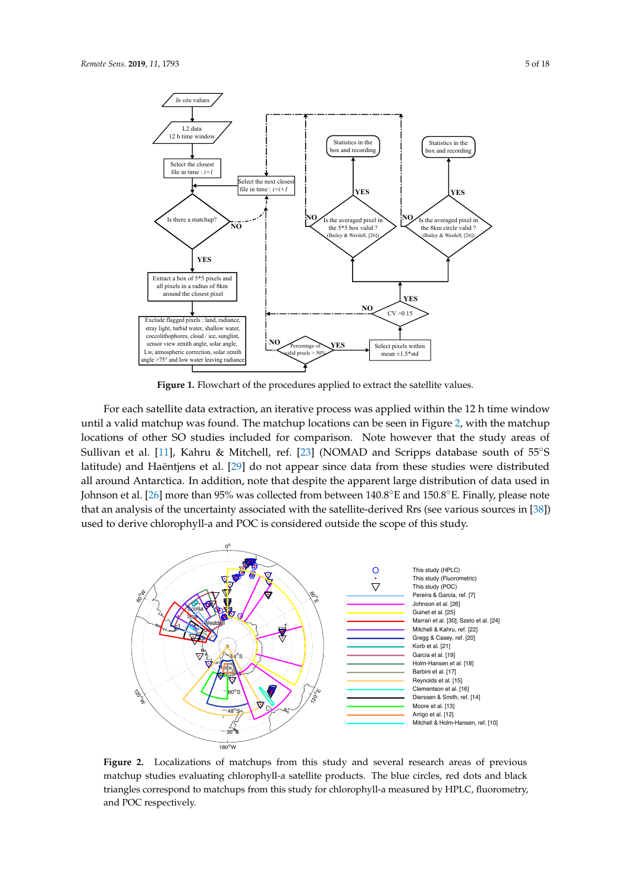<span id="page-4-0"></span>

Figure 1. Flowchart of the procedures applied to extract the satellite values.

For each satellite data extraction, an iterative process was applied within the 12 h time window until a valid matchup was found. The matchup locations can be seen in Figure [2,](#page-4-1) with the matchup locations of other SO studies included for comparison. Note however that the study areas of Sullivan et al. [\[11\]](#page-14-13), Kahru & Mitchell, ref. [\[23\]](#page-14-14) (NOMAD and Scripps database south of 55◦S latitude) and Haëntjens et al. [\[29\]](#page-15-3) do not appear since data from these studies were distributed all around Antarctica. In addition, note that despite the apparent large distribution of data used in Johnson et al. [\[26\]](#page-15-0) more than 95% was collected from between 140.8◦E and 150.8◦E. Finally, please note that an analysis of the uncertainty associated with the satellite-derived Rrs (see various sources in [\[38\]](#page-15-12)) used to derive chlorophyll-a and POC is considered outside the scope of this study.

<span id="page-4-1"></span>

**Figure 2.** Localizations of matchups from this study and several research areas of previous matchup studies evaluating chlorophyll-a satellite products. The blue circles, red dots and black triangles correspond to matchups from this study for chlorophyll-a measured by HPLC, fluorometry, and POC respectively.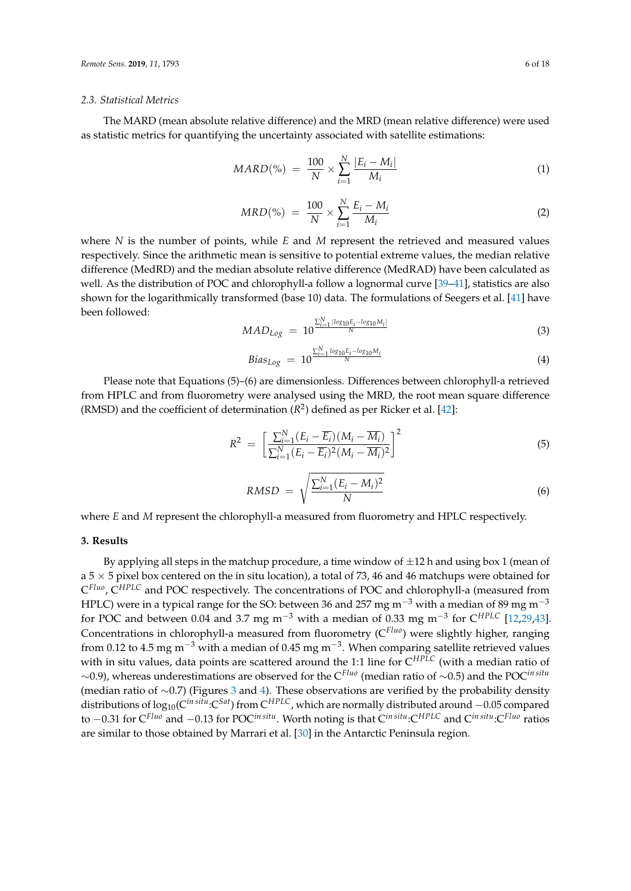#### <span id="page-5-0"></span>*2.3. Statistical Metrics*

The MARD (mean absolute relative difference) and the MRD (mean relative difference) were used as statistic metrics for quantifying the uncertainty associated with satellite estimations:

$$
MARD(\%) = \frac{100}{N} \times \sum_{i=1}^{N} \frac{|E_i - M_i|}{M_i}
$$
 (1)

$$
MRD(\%) = \frac{100}{N} \times \sum_{i=1}^{N} \frac{E_i - M_i}{M_i}
$$
 (2)

where *N* is the number of points, while *E* and *M* represent the retrieved and measured values respectively. Since the arithmetic mean is sensitive to potential extreme values, the median relative difference (MedRD) and the median absolute relative difference (MedRAD) have been calculated as well. As the distribution of POC and chlorophyll-a follow a lognormal curve [\[39](#page-15-13)[–41\]](#page-15-14), statistics are also shown for the logarithmically transformed (base 10) data. The formulations of Seegers et al. [\[41\]](#page-15-14) have been followed:

$$
MAD_{Log} = 10^{\frac{\sum_{i=1}^{N} |log_{10}E_i - log_{10}M_i|}{N}}
$$
(3)

$$
Bias_{Log} = 10^{\frac{\sum_{i=1}^{N} log_{10}E_i - log_{10}M_i}{N}}
$$
(4)

Please note that Equations (5)–(6) are dimensionless. Differences between chlorophyll-a retrieved from HPLC and from fluorometry were analysed using the MRD, the root mean square difference (RMSD) and the coefficient of determination  $(R^2)$  defined as per Ricker et al. [\[42\]](#page-15-15):

$$
R^{2} = \left[\frac{\sum_{i=1}^{N} (E_{i} - \overline{E_{i}})(M_{i} - \overline{M_{i}})}{\sum_{i=1}^{N} (E_{i} - \overline{E_{i}})^{2} (M_{i} - \overline{M_{i}})^{2}}\right]^{2}
$$
(5)

$$
RMSD = \sqrt{\frac{\sum_{i=1}^{N} (E_i - M_i)^2}{N}}
$$
\n(6)

where *E* and *M* represent the chlorophyll-a measured from fluorometry and HPLC respectively.

### **3. Results**

By applying all steps in the matchup procedure, a time window of  $\pm 12$  h and using box 1 (mean of a 5  $\times$  5 pixel box centered on the in situ location), a total of 73, 46 and 46 matchups were obtained for C *Fluo*, C*HPLC* and POC respectively. The concentrations of POC and chlorophyll-a (measured from HPLC) were in a typical range for the SO: between 36 and 257 mg m<sup>-3</sup> with a median of 89 mg m<sup>-3</sup> for POC and between 0.04 and 3.7 mg m−<sup>3</sup> with a median of 0.33 mg m−<sup>3</sup> for C*HPLC* [\[12,](#page-14-10)[29,](#page-15-3)[43\]](#page-15-16). Concentrations in chlorophyll-a measured from fluorometry (C*Fluo*) were slightly higher, ranging from 0.12 to 4.5 mg m<sup>−3</sup> with a median of 0.45 mg m<sup>−3</sup>. When comparing satellite retrieved values with in situ values, data points are scattered around the 1:1 line for C*HPLC* (with a median ratio of ∼0.9), whereas underestimations are observed for the C*Fluo* (median ratio of ∼0.5) and the POC*in situ* (median ratio of ∼0.7) (Figures [3](#page-6-0) and [4\)](#page-6-1). These observations are verified by the probability density distributions of log10(C*in situ*:C*Sat*) from C*HPLC*, which are normally distributed around −0.05 compared to −0.31 for C*Fluo* and −0.13 for POC*in situ*. Worth noting is that C*in situ*:C*HPLC* and C*in situ*:C*Fluo* ratios are similar to those obtained by Marrari et al. [\[30\]](#page-15-4) in the Antarctic Peninsula region.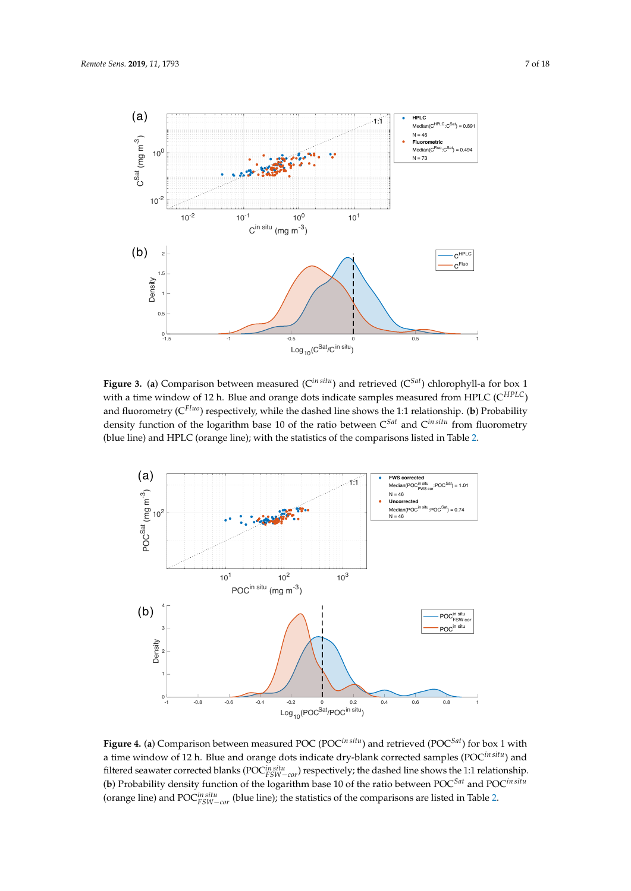<span id="page-6-0"></span>

**Figure 3.** (a) Comparison between measured ( $C^{in situ}$ ) and retrieved ( $C^{Sat}$ ) chlorophyll-a for box 1 with a time window of 12 h. Blue and orange dots indicate samples measured from HPLC (C*HPLC*) and fluorometry (C*Fluo*) respectively, while the dashed line shows the 1:1 relationship. (**b**) Probability density function of the logarithm base 10 of the ratio between C*Sat* and C*in situ* from fluorometry (blue line) and HPLC (orange line); with the statistics of the comparisons listed in Table [2.](#page-7-0)

<span id="page-6-1"></span>

**Figure 4.** (**a**) Comparison between measured POC (POC*in situ*) and retrieved (POC*Sat*) for box 1 with a time window of 12 h. Blue and orange dots indicate dry-blank corrected samples (POC*in situ*) and filtered seawater corrected blanks (POC*in situ FSW*−*cor*) respectively; the dashed line shows the 1:1 relationship. (**b**) Probability density function of the logarithm base 10 of the ratio between POC*Sat* and POC*in situ* (orange line) and POC*in situ FSW*−*cor* (blue line); the statistics of the comparisons are listed in Table [2.](#page-7-0)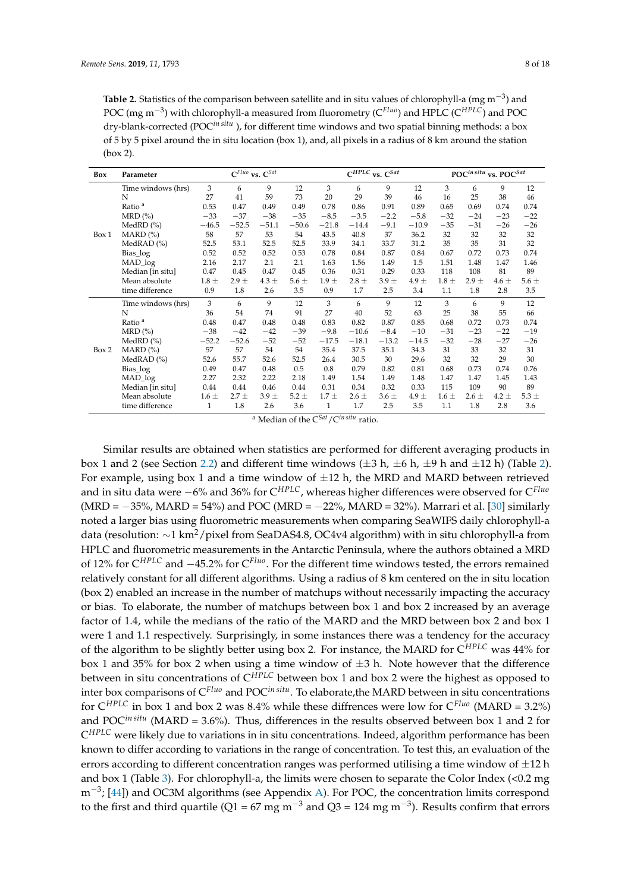<span id="page-7-0"></span>Table 2. Statistics of the comparison between satellite and in situ values of chlorophyll-a (mg m<sup>-3</sup>) and POC (mg m−<sup>3</sup> ) with chlorophyll-a measured from fluorometry (C*Fluo*) and HPLC (C*HPLC*) and POC dry-blank-corrected (POC*in situ* ), for different time windows and two spatial binning methods: a box of 5 by 5 pixel around the in situ location (box 1), and, all pixels in a radius of 8 km around the station (box 2).

| Box   | Parameter          |           |           | $C^{Fluo}$ vs. $C^{Sat}$ |           |           |           | $C^{HPLC}$ vs. $C^{Sat}$ |           |           |           | POCin situ vs. POC <sup>Sat</sup> |           |
|-------|--------------------|-----------|-----------|--------------------------|-----------|-----------|-----------|--------------------------|-----------|-----------|-----------|-----------------------------------|-----------|
|       | Time windows (hrs) | 3         | 6         | 9                        | 12        | 3         | 6         | 9                        | 12        | 3         | 6         | 9                                 | 12        |
|       | N                  | 27        | 41        | 59                       | 73        | 20        | 29        | 39                       | 46        | 16        | 25        | 38                                | 46        |
|       | Ratio <sup>a</sup> | 0.53      | 0.47      | 0.49                     | 0.49      | 0.78      | 0.86      | 0.91                     | 0.89      | 0.65      | 0.69      | 0.74                              | 0.74      |
|       | $MRD (\% )$        | $-33$     | $-37$     | $-38$                    | $-35$     | $-8.5$    | $-3.5$    | $-2.2$                   | $-5.8$    | $-32$     | $-24$     | $-23$                             | $-22$     |
|       | MedRD $(%)$        | $-46.5$   | $-52.5$   | $-51.1$                  | $-50.6$   | $-21.8$   | $-14.4$   | $-9.1$                   | $-10.9$   | $-35$     | $-31$     | $-26$                             | $-26$     |
| Box 1 | $MARD$ (%)         | 58        | 57        | 53                       | 54        | 43.5      | 40.8      | 37                       | 36.2      | 32        | 32        | 32                                | 32        |
|       | MedRAD $(%)$       | 52.5      | 53.1      | 52.5                     | 52.5      | 33.9      | 34.1      | 33.7                     | 31.2      | 35        | 35        | 31                                | 32        |
|       | Bias_log           | 0.52      | 0.52      | 0.52                     | 0.53      | 0.78      | 0.84      | 0.87                     | 0.84      | 0.67      | 0.72      | 0.73                              | 0.74      |
|       | MAD_log            | 2.16      | 2.17      | 2.1                      | 2.1       | 1.63      | 1.56      | 1.49                     | 1.5       | 1.51      | 1.48      | 1.47                              | 1.46      |
|       | Median [in situ]   | 0.47      | 0.45      | 0.47                     | 0.45      | 0.36      | 0.31      | 0.29                     | 0.33      | 118       | 108       | 81                                | 89        |
|       | Mean absolute      | $1.8 \pm$ | $2.9 \pm$ | $4.3 \pm$                | $5.6 \pm$ | $1.9 \pm$ | $2.8 \pm$ | $3.9 \pm$                | $4.9 \pm$ | $1.8 \pm$ | $2.9 \pm$ | $4.6 \pm$                         | 5.6 $\pm$ |
|       | time difference    | 0.9       | 1.8       | 2.6                      | 3.5       | 0.9       | 1.7       | 2.5                      | 3.4       | 1.1       | 1.8       | 2.8                               | 3.5       |
|       | Time windows (hrs) | 3         | 6         | 9                        | 12        | 3         | 6         | 9                        | 12        | 3         | 6         | 9                                 | 12        |
|       | N                  | 36        | 54        | 74                       | 91        | 27        | 40        | 52                       | 63        | 25        | 38        | 55                                | 66        |
|       | Ratio <sup>a</sup> | 0.48      | 0.47      | 0.48                     | 0.48      | 0.83      | 0.82      | 0.87                     | 0.85      | 0.68      | 0.72      | 0.73                              | 0.74      |
|       | $MRD(\%)$          | $-38$     | $-42$     | $-42$                    | $-39$     | $-9.8$    | $-10.6$   | $-8.4$                   | $-10$     | $-31$     | $-23$     | $-22$                             | $-19$     |
|       | MedRD $(\%)$       | $-52.2$   | $-52.6$   | $-52$                    | $-52$     | $-17.5$   | $-18.1$   | $-13.2$                  | $-14.5$   | $-32$     | $-28$     | $-27$                             | $-26$     |
| Box 2 | $MARD$ (%)         | 57        | 57        | 54                       | 54        | 35.4      | 37.5      | 35.1                     | 34.3      | 31        | 33        | 32                                | 31        |
|       | MedRAD $(\%)$      | 52.6      | 55.7      | 52.6                     | 52.5      | 26.4      | 30.5      | 30                       | 29.6      | 32        | 32        | 29                                | 30        |
|       | Bias_log           | 0.49      | 0.47      | 0.48                     | 0.5       | 0.8       | 0.79      | 0.82                     | 0.81      | 0.68      | 0.73      | 0.74                              | 0.76      |
|       | MAD_log            | 2.27      | 2.32      | 2.22                     | 2.18      | 1.49      | 1.54      | 1.49                     | 1.48      | 1.47      | 1.47      | 1.45                              | 1.43      |
|       | Median [in situ]   | 0.44      | 0.44      | 0.46                     | 0.44      | 0.31      | 0.34      | 0.32                     | 0.33      | 115       | 109       | 90                                | 89        |
|       | Mean absolute      | $1.6 \pm$ | $2.7 \pm$ | $3.9 \pm$                | $5.2 \pm$ | $1.7 \pm$ | $2.6 \pm$ | $3.6 \pm$                | $4.9 \pm$ | $1.6 \pm$ | $2.6 \pm$ | $4.2 \pm$                         | $5.3 \pm$ |
|       | time difference    | 1         | 1.8       | 2.6                      | 3.6       | 1         | 1.7       | 2.5                      | 3.5       | 1.1       | 1.8       | 2.8                               | 3.6       |

<sup>a</sup> Median of the C*Sat*/C*in situ* ratio.

Similar results are obtained when statistics are performed for different averaging products in box 1 and 2 (see Section [2.2\)](#page-3-0) and different time windows ( $\pm 3$  h,  $\pm 6$  h,  $\pm 9$  h and  $\pm 12$  h) (Table [2\)](#page-7-0). For example, using box 1 and a time window of  $\pm 12$  h, the MRD and MARD between retrieved and in situ data were −6% and 36% for C*HPLC*, whereas higher differences were observed for C*Fluo*  $(MRD = -35\%, MARD = 54\%)$  and POC (MRD = -22%, MARD = 32%). Marrari et al. [\[30\]](#page-15-4) similarly noted a larger bias using fluorometric measurements when comparing SeaWIFS daily chlorophyll-a data (resolution: ∼1 km2/pixel from SeaDAS4.8, OC4v4 algorithm) with in situ chlorophyll-a from HPLC and fluorometric measurements in the Antarctic Peninsula, where the authors obtained a MRD of 12% for C*HPLC* and −45.2% for C*Fluo*. For the different time windows tested, the errors remained relatively constant for all different algorithms. Using a radius of 8 km centered on the in situ location (box 2) enabled an increase in the number of matchups without necessarily impacting the accuracy or bias. To elaborate, the number of matchups between box 1 and box 2 increased by an average factor of 1.4, while the medians of the ratio of the MARD and the MRD between box 2 and box 1 were 1 and 1.1 respectively. Surprisingly, in some instances there was a tendency for the accuracy of the algorithm to be slightly better using box 2. For instance, the MARD for C*HPLC* was 44% for box 1 and 35% for box 2 when using a time window of  $\pm$ 3 h. Note however that the difference between in situ concentrations of C*HPLC* between box 1 and box 2 were the highest as opposed to inter box comparisons of C*Fluo* and POC*in situ*. To elaborate,the MARD between in situ concentrations for C*HPLC* in box 1 and box 2 was 8.4% while these diffrences were low for C*Fluo* (MARD = 3.2%) and POC*in situ* (MARD = 3.6%). Thus, differences in the results observed between box 1 and 2 for C *HPLC* were likely due to variations in in situ concentrations. Indeed, algorithm performance has been known to differ according to variations in the range of concentration. To test this, an evaluation of the errors according to different concentration ranges was performed utilising a time window of  $\pm 12$  h and box 1 (Table [3\)](#page-8-0). For chlorophyll-a, the limits were chosen to separate the Color Index (<0.2 mg m<sup>-3</sup>; [\[44\]](#page-15-17)) and OC3M algorithms (see Appendix [A\)](#page-13-1). For POC, the concentration limits correspond to the first and third quartile (Q1 = 67 mg m<sup>-3</sup> and Q3 = 124 mg m<sup>-3</sup>). Results confirm that errors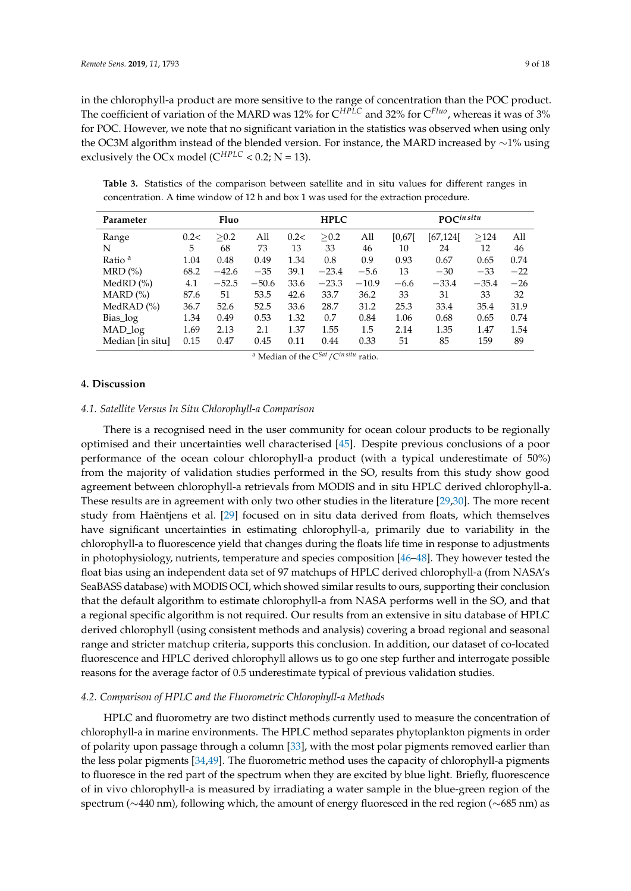in the chlorophyll-a product are more sensitive to the range of concentration than the POC product. The coefficient of variation of the MARD was 12% for C*HPLC* and 32% for C*Fluo*, whereas it was of 3% for POC. However, we note that no significant variation in the statistics was observed when using only the OC3M algorithm instead of the blended version. For instance, the MARD increased by ∼1% using exclusively the OCx model ( $C^{HPLC}$  < 0.2; N = 13).

<span id="page-8-0"></span>**Table 3.** Statistics of the comparison between satellite and in situ values for different ranges in concentration. A time window of 12 h and box 1 was used for the extraction procedure.

| Parameter          |      | Fluo    |         | <b>HPLC</b> |         |         | $\operatorname{POC}^{in\,situ}$ |           |         |       |
|--------------------|------|---------|---------|-------------|---------|---------|---------------------------------|-----------|---------|-------|
| Range              | 0.2< | >0.2    | All     | 0.2<        | > 0.2   | All     | [0.67]                          | [67, 124] | >124    | All   |
| N                  | 5    | 68      | 73      | 13          | 33      | 46      | 10                              | 24        | 12      | 46    |
| Ratio <sup>a</sup> | 1.04 | 0.48    | 0.49    | 1.34        | 0.8     | 0.9     | 0.93                            | 0.67      | 0.65    | 0.74  |
| $MRD$ $(\%)$       | 68.2 | $-42.6$ | $-35$   | 39.1        | $-23.4$ | $-5.6$  | 13                              | $-30$     | $-33$   | $-22$ |
| MedRD $(\% )$      | 4.1  | $-52.5$ | $-50.6$ | 33.6        | $-23.3$ | $-10.9$ | $-6.6$                          | $-33.4$   | $-35.4$ | $-26$ |
| MARD (%)           | 87.6 | 51      | 53.5    | 42.6        | 33.7    | 36.2    | 33                              | 31        | 33      | 32    |
| MedRAD $(\% )$     | 36.7 | 52.6    | 52.5    | 33.6        | 28.7    | 31.2    | 25.3                            | 33.4      | 35.4    | 31.9  |
| Bias log           | 1.34 | 0.49    | 0.53    | 1.32        | 0.7     | 0.84    | 1.06                            | 0.68      | 0.65    | 0.74  |
| MAD_log            | 1.69 | 2.13    | 2.1     | 1.37        | 1.55    | 1.5     | 2.14                            | 1.35      | 1.47    | 1.54  |
| Median [in situ]   | 0.15 | 0.47    | 0.45    | 0.11        | 0.44    | 0.33    | 51                              | 85        | 159     | 89    |

<sup>a</sup> Median of the C<sup>Sat</sup>/C<sup>in situ</sup> ratio.

#### **4. Discussion**

#### *4.1. Satellite Versus In Situ Chlorophyll-a Comparison*

There is a recognised need in the user community for ocean colour products to be regionally optimised and their uncertainties well characterised [\[45\]](#page-15-18). Despite previous conclusions of a poor performance of the ocean colour chlorophyll-a product (with a typical underestimate of 50%) from the majority of validation studies performed in the SO, results from this study show good agreement between chlorophyll-a retrievals from MODIS and in situ HPLC derived chlorophyll-a. These results are in agreement with only two other studies in the literature [\[29](#page-15-3)[,30\]](#page-15-4). The more recent study from Haëntjens et al. [\[29\]](#page-15-3) focused on in situ data derived from floats, which themselves have significant uncertainties in estimating chlorophyll-a, primarily due to variability in the chlorophyll-a to fluorescence yield that changes during the floats life time in response to adjustments in photophysiology, nutrients, temperature and species composition [\[46–](#page-15-19)[48\]](#page-16-0). They however tested the float bias using an independent data set of 97 matchups of HPLC derived chlorophyll-a (from NASA's SeaBASS database) with MODIS OCI, which showed similar results to ours, supporting their conclusion that the default algorithm to estimate chlorophyll-a from NASA performs well in the SO, and that a regional specific algorithm is not required. Our results from an extensive in situ database of HPLC derived chlorophyll (using consistent methods and analysis) covering a broad regional and seasonal range and stricter matchup criteria, supports this conclusion. In addition, our dataset of co-located fluorescence and HPLC derived chlorophyll allows us to go one step further and interrogate possible reasons for the average factor of 0.5 underestimate typical of previous validation studies.

#### *4.2. Comparison of HPLC and the Fluorometric Chlorophyll-a Methods*

HPLC and fluorometry are two distinct methods currently used to measure the concentration of chlorophyll-a in marine environments. The HPLC method separates phytoplankton pigments in order of polarity upon passage through a column [\[33\]](#page-15-7), with the most polar pigments removed earlier than the less polar pigments [\[34](#page-15-8)[,49\]](#page-16-1). The fluorometric method uses the capacity of chlorophyll-a pigments to fluoresce in the red part of the spectrum when they are excited by blue light. Briefly, fluorescence of in vivo chlorophyll-a is measured by irradiating a water sample in the blue-green region of the spectrum (∼440 nm), following which, the amount of energy fluoresced in the red region (∼685 nm) as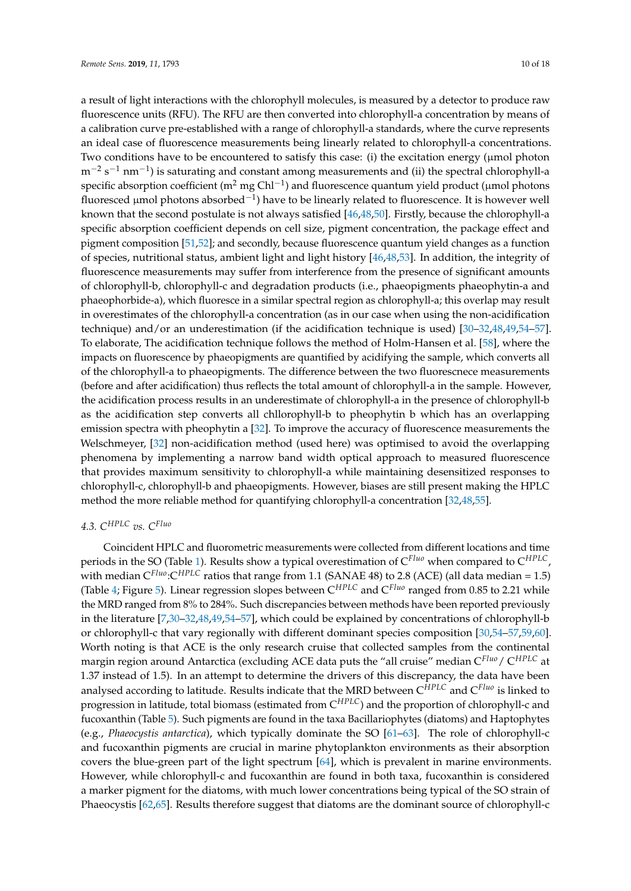a result of light interactions with the chlorophyll molecules, is measured by a detector to produce raw fluorescence units (RFU). The RFU are then converted into chlorophyll-a concentration by means of a calibration curve pre-established with a range of chlorophyll-a standards, where the curve represents an ideal case of fluorescence measurements being linearly related to chlorophyll-a concentrations. Two conditions have to be encountered to satisfy this case: (i) the excitation energy ( $\mu$ mol photon m<sup>-2</sup> s<sup>-1</sup> nm<sup>-1</sup>) is saturating and constant among measurements and (ii) the spectral chlorophyll-a specific absorption coefficient (m<sup>2</sup> mg Chl<sup>-1</sup>) and fluorescence quantum yield product (µmol photons fluoresced µmol photons absorbed−<sup>1</sup> ) have to be linearly related to fluorescence. It is however well known that the second postulate is not always satisfied [\[46,](#page-15-19)[48](#page-16-0)[,50\]](#page-16-2). Firstly, because the chlorophyll-a specific absorption coefficient depends on cell size, pigment concentration, the package effect and pigment composition [\[51,](#page-16-3)[52\]](#page-16-4); and secondly, because fluorescence quantum yield changes as a function of species, nutritional status, ambient light and light history [\[46,](#page-15-19)[48,](#page-16-0)[53\]](#page-16-5). In addition, the integrity of fluorescence measurements may suffer from interference from the presence of significant amounts of chlorophyll-b, chlorophyll-c and degradation products (i.e., phaeopigments phaeophytin-a and phaeophorbide-a), which fluoresce in a similar spectral region as chlorophyll-a; this overlap may result in overestimates of the chlorophyll-a concentration (as in our case when using the non-acidification technique) and/or an underestimation (if the acidification technique is used) [\[30](#page-15-4)[–32,](#page-15-6)[48,](#page-16-0)[49,](#page-16-1)[54–](#page-16-6)[57\]](#page-16-7). To elaborate, The acidification technique follows the method of Holm-Hansen et al. [\[58\]](#page-16-8), where the impacts on fluorescence by phaeopigments are quantified by acidifying the sample, which converts all of the chlorophyll-a to phaeopigments. The difference between the two fluorescnece measurements (before and after acidification) thus reflects the total amount of chlorophyll-a in the sample. However, the acidification process results in an underestimate of chlorophyll-a in the presence of chlorophyll-b as the acidification step converts all chllorophyll-b to pheophytin b which has an overlapping emission spectra with pheophytin a [\[32\]](#page-15-6). To improve the accuracy of fluorescence measurements the Welschmeyer, [\[32\]](#page-15-6) non-acidification method (used here) was optimised to avoid the overlapping phenomena by implementing a narrow band width optical approach to measured fluorescence that provides maximum sensitivity to chlorophyll-a while maintaining desensitized responses to chlorophyll-c, chlorophyll-b and phaeopigments. However, biases are still present making the HPLC method the more reliable method for quantifying chlorophyll-a concentration [\[32](#page-15-6)[,48,](#page-16-0)[55\]](#page-16-9).

## *4.3. CHPLC vs. CFluo*

Coincident HPLC and fluorometric measurements were collected from different locations and time periods in the SO (Table [1\)](#page-2-0). Results show a typical overestimation of C*Fluo* when compared to C*HPLC*, with median  $C^{Fluo}$ : $C^{HPLC}$  ratios that range from 1.1 (SANAE 48) to 2.8 (ACE) (all data median = 1.5) (Table [4;](#page-10-0) Figure [5\)](#page-10-1). Linear regression slopes between C*HPLC* and C*Fluo* ranged from 0.85 to 2.21 while the MRD ranged from 8% to 284%. Such discrepancies between methods have been reported previously in the literature [\[7,](#page-14-2)[30–](#page-15-4)[32,](#page-15-6)[48,](#page-16-0)[49,](#page-16-1)[54](#page-16-6)[–57\]](#page-16-7), which could be explained by concentrations of chlorophyll-b or chlorophyll-c that vary regionally with different dominant species composition [\[30,](#page-15-4)[54–](#page-16-6)[57,](#page-16-7)[59,](#page-16-10)[60\]](#page-16-11). Worth noting is that ACE is the only research cruise that collected samples from the continental margin region around Antarctica (excluding ACE data puts the "all cruise" median C*Fluo*/ C*HPLC* at 1.37 instead of 1.5). In an attempt to determine the drivers of this discrepancy, the data have been analysed according to latitude. Results indicate that the MRD between C*HPLC* and C*Fluo* is linked to progression in latitude, total biomass (estimated from C*HPLC*) and the proportion of chlorophyll-c and fucoxanthin (Table [5\)](#page-11-0). Such pigments are found in the taxa Bacillariophytes (diatoms) and Haptophytes (e.g., *Phaeocystis antarctica*), which typically dominate the SO [\[61](#page-16-12)[–63\]](#page-16-13). The role of chlorophyll-c and fucoxanthin pigments are crucial in marine phytoplankton environments as their absorption covers the blue-green part of the light spectrum [\[64\]](#page-16-14), which is prevalent in marine environments. However, while chlorophyll-c and fucoxanthin are found in both taxa, fucoxanthin is considered a marker pigment for the diatoms, with much lower concentrations being typical of the SO strain of Phaeocystis [\[62](#page-16-15)[,65\]](#page-16-16). Results therefore suggest that diatoms are the dominant source of chlorophyll-c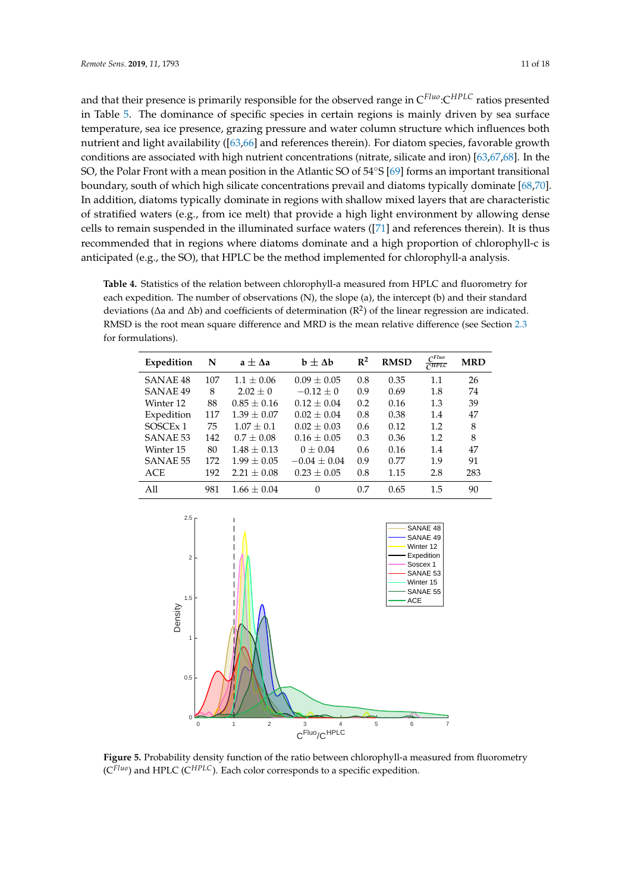and that their presence is primarily responsible for the observed range in C*Fluo*:C*HPLC* ratios presented in Table [5.](#page-11-0) The dominance of specific species in certain regions is mainly driven by sea surface temperature, sea ice presence, grazing pressure and water column structure which influences both nutrient and light availability ([\[63,](#page-16-13)[66\]](#page-16-17) and references therein). For diatom species, favorable growth conditions are associated with high nutrient concentrations (nitrate, silicate and iron) [\[63](#page-16-13)[,67](#page-16-18)[,68\]](#page-17-0). In the SO, the Polar Front with a mean position in the Atlantic SO of 54◦S [\[69\]](#page-17-1) forms an important transitional boundary, south of which high silicate concentrations prevail and diatoms typically dominate [\[68,](#page-17-0)[70\]](#page-17-2). In addition, diatoms typically dominate in regions with shallow mixed layers that are characteristic of stratified waters (e.g., from ice melt) that provide a high light environment by allowing dense cells to remain suspended in the illuminated surface waters ([\[71\]](#page-17-3) and references therein). It is thus recommended that in regions where diatoms dominate and a high proportion of chlorophyll-c is anticipated (e.g., the SO), that HPLC be the method implemented for chlorophyll-a analysis.

<span id="page-10-0"></span>**Table 4.** Statistics of the relation between chlorophyll-a measured from HPLC and fluorometry for each expedition. The number of observations (N), the slope (a), the intercept (b) and their standard deviations ( $\Delta$ a and  $\Delta$ b) and coefficients of determination ( $R^2$ ) of the linear regression are indicated. RMSD is the root mean square difference and MRD is the mean relative difference (see Section [2.3](#page-5-0) for formulations).

| Expedition           | N   | $a \pm \Delta a$ | $b \pm \Delta b$ | $\mathbb{R}^2$ | <b>RMSD</b> | $C^{Fluo}$<br>CHPLC | <b>MRD</b> |
|----------------------|-----|------------------|------------------|----------------|-------------|---------------------|------------|
| SANAE <sub>48</sub>  | 107 | $1.1 + 0.06$     | $0.09 + 0.05$    | 0.8            | 0.35        | 1.1                 | 26         |
| <b>SANAE 49</b>      | 8   | $2.02 \pm 0$     | $-0.12 + 0$      | 0.9            | 0.69        | 1.8                 | 74         |
| Winter 12            | 88  | $0.85 + 0.16$    | $0.12 + 0.04$    | 0.2            | 0.16        | 1.3                 | 39         |
| Expedition           | 117 | $1.39 \pm 0.07$  | $0.02 \pm 0.04$  | 0.8            | 0.38        | 1.4                 | 47         |
| SOSCE <sub>x</sub> 1 | 75  | $1.07 + 0.1$     | $0.02 + 0.03$    | 0.6            | 0.12        | 1.2                 | 8          |
| SANAE 53             | 142 | $0.7 + 0.08$     | $0.16 + 0.05$    | 0.3            | 0.36        | 1.2                 | 8          |
| Winter 15            | 80  | $1.48 \pm 0.13$  | $0 \pm 0.04$     | 0.6            | 0.16        | 1.4                 | 47         |
| <b>SANAE 55</b>      | 172 | $1.99 + 0.05$    | $-0.04 + 0.04$   | 0.9            | 0.77        | 1.9                 | 91         |
| <b>ACE</b>           | 192 | $2.21 \pm 0.08$  | $0.23 \pm 0.05$  | 0.8            | 1.15        | 2.8                 | 283        |
| All                  | 981 | $1.66 + 0.04$    | $\Omega$         | 0.7            | 0.65        | 1.5                 | 90         |

<span id="page-10-1"></span>

**Figure 5.** Probability density function of the ratio between chlorophyll-a measured from fluorometry (C*Fluo*) and HPLC (C*HPLC*). Each color corresponds to a specific expedition.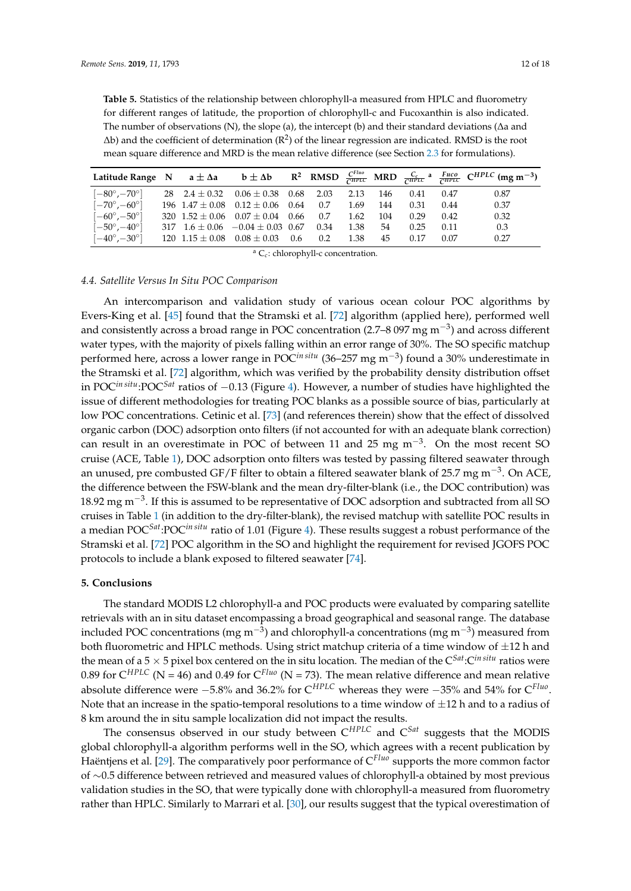<span id="page-11-0"></span>**Table 5.** Statistics of the relationship between chlorophyll-a measured from HPLC and fluorometry for different ranges of latitude, the proportion of chlorophyll-c and Fucoxanthin is also indicated. The number of observations (N), the slope (a), the intercept (b) and their standard deviations (∆a and  $\Delta$ b) and the coefficient of determination ( $\mathbb{R}^2$ ) of the linear regression are indicated. RMSD is the root mean square difference and MRD is the mean relative difference (see Section [2.3](#page-5-0) for formulations).

|                              |                         |                       |      |      |      |     |      |      | Latitude Range N $a \pm \Delta a$ $b \pm \Delta b$ $R^2$ RMSD $\frac{C^{Fluo}}{CHPLC}$ MRD $\frac{C_c}{CHPLC}$ $a \frac{F_{UCO}}{CHPLC}$ $CHPLC$ (mg m <sup>-3</sup> ) |
|------------------------------|-------------------------|-----------------------|------|------|------|-----|------|------|------------------------------------------------------------------------------------------------------------------------------------------------------------------------|
| $[-80^\circ, -70^\circ]$     | 28 $2.4 \pm 0.32$       | $0.06\pm0.38$         | 0.68 | 2.03 | 2.13 | 146 | 0.41 | 0.47 | 0.87                                                                                                                                                                   |
| $[-70^\circ, -60^\circ]$     | $196 \quad 1.47 + 0.08$ | $0.12 \pm 0.06$       | 0.64 | 0.7  | 1.69 | 144 | 0.31 | 0.44 | 0.37                                                                                                                                                                   |
| $[-60^{\circ}, -50^{\circ}]$ | $320 \ \ 1.52 + 0.06$   | $0.07\pm0.04$         | 0.66 | 0.7  | 1.62 | 104 | 0.29 | 0.42 | 0.32                                                                                                                                                                   |
| $[-50^{\circ}, -40^{\circ}]$ | 317 $1.6 \pm 0.06$      | $-0.04 \pm 0.03$ 0.67 |      | 0.34 | 1.38 | 54  | 0.25 | 0.11 | 0.3                                                                                                                                                                    |
| $[-40^{\circ}, -30^{\circ}]$ | 120 $1.15 \pm 0.08$     | $0.08 \pm 0.03$       | 0.6  | 0.2  | 1.38 | 45  | 0.17 | 0.07 | 0.27                                                                                                                                                                   |

<sup>a</sup> C<sub>c</sub>: chlorophyll-c concentration.

#### *4.4. Satellite Versus In Situ POC Comparison*

An intercomparison and validation study of various ocean colour POC algorithms by Evers-King et al. [\[45\]](#page-15-18) found that the Stramski et al. [\[72\]](#page-17-4) algorithm (applied here), performed well and consistently across a broad range in POC concentration (2.7–8 097 mg m<sup>-3</sup>) and across different water types, with the majority of pixels falling within an error range of 30%. The SO specific matchup performed here, across a lower range in POC*in situ* (36–257 mg m−<sup>3</sup> ) found a 30% underestimate in the Stramski et al. [\[72\]](#page-17-4) algorithm, which was verified by the probability density distribution offset in POC*in situ*:POC*Sat* ratios of −0.13 (Figure [4\)](#page-6-1). However, a number of studies have highlighted the issue of different methodologies for treating POC blanks as a possible source of bias, particularly at low POC concentrations. Cetinic et al. [\[73\]](#page-17-5) (and references therein) show that the effect of dissolved organic carbon (DOC) adsorption onto filters (if not accounted for with an adequate blank correction) can result in an overestimate in POC of between 11 and 25 mg  $m^{-3}$ . On the most recent SO cruise (ACE, Table [1\)](#page-2-0), DOC adsorption onto filters was tested by passing filtered seawater through an unused, pre combusted GF/F filter to obtain a filtered seawater blank of 25.7 mg m<sup>−3</sup>. On ACE, the difference between the FSW-blank and the mean dry-filter-blank (i.e., the DOC contribution) was 18.92 mg m<sup>-3</sup>. If this is assumed to be representative of DOC adsorption and subtracted from all SO cruises in Table [1](#page-2-0) (in addition to the dry-filter-blank), the revised matchup with satellite POC results in a median POC*Sat*:POC*in situ* ratio of 1.01 (Figure [4\)](#page-6-1). These results suggest a robust performance of the Stramski et al. [\[72\]](#page-17-4) POC algorithm in the SO and highlight the requirement for revised JGOFS POC protocols to include a blank exposed to filtered seawater [\[74\]](#page-17-6).

#### **5. Conclusions**

The standard MODIS L2 chlorophyll-a and POC products were evaluated by comparing satellite retrievals with an in situ dataset encompassing a broad geographical and seasonal range. The database included POC concentrations (mg m<sup>-3</sup>) and chlorophyll-a concentrations (mg m<sup>-3</sup>) measured from both fluorometric and HPLC methods. Using strict matchup criteria of a time window of  $\pm 12$  h and the mean of a  $5 \times 5$  pixel box centered on the in situ location. The median of the  $C^{Sat}:C^{in\, situ}$  ratios were 0.89 for  $C^{HPLC}$  (N = 46) and 0.49 for  $C^{Fluo}$  (N = 73). The mean relative difference and mean relative absolute difference were −5.8% and 36.2% for C*HPLC* whereas they were −35% and 54% for C*Fluo* . Note that an increase in the spatio-temporal resolutions to a time window of  $\pm 12$  h and to a radius of 8 km around the in situ sample localization did not impact the results.

The consensus observed in our study between C*HPLC* and C*Sat* suggests that the MODIS global chlorophyll-a algorithm performs well in the SO, which agrees with a recent publication by Haëntjens et al. [\[29\]](#page-15-3). The comparatively poor performance of C*Fluo* supports the more common factor of ∼0.5 difference between retrieved and measured values of chlorophyll-a obtained by most previous validation studies in the SO, that were typically done with chlorophyll-a measured from fluorometry rather than HPLC. Similarly to Marrari et al. [\[30\]](#page-15-4), our results suggest that the typical overestimation of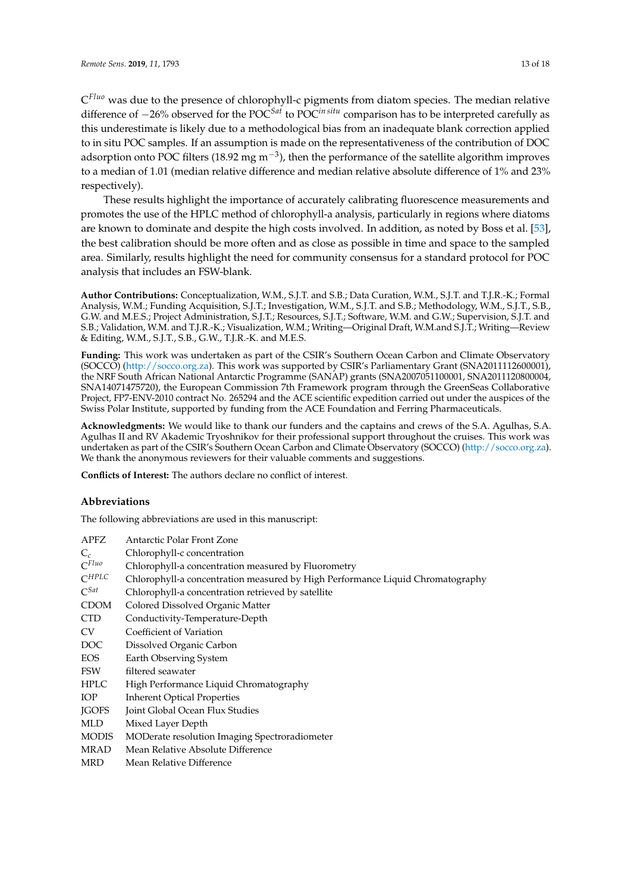C *Fluo* was due to the presence of chlorophyll-c pigments from diatom species. The median relative difference of −26% observed for the POC*Sat* to POC*in situ* comparison has to be interpreted carefully as this underestimate is likely due to a methodological bias from an inadequate blank correction applied to in situ POC samples. If an assumption is made on the representativeness of the contribution of DOC adsorption onto POC filters (18.92 mg m<sup>-3</sup>), then the performance of the satellite algorithm improves to a median of 1.01 (median relative difference and median relative absolute difference of 1% and 23% respectively).

These results highlight the importance of accurately calibrating fluorescence measurements and promotes the use of the HPLC method of chlorophyll-a analysis, particularly in regions where diatoms are known to dominate and despite the high costs involved. In addition, as noted by Boss et al. [\[53\]](#page-16-5), the best calibration should be more often and as close as possible in time and space to the sampled area. Similarly, results highlight the need for community consensus for a standard protocol for POC analysis that includes an FSW-blank.

**Author Contributions:** Conceptualization, W.M., S.J.T. and S.B.; Data Curation, W.M., S.J.T. and T.J.R.-K.; Formal Analysis, W.M.; Funding Acquisition, S.J.T.; Investigation, W.M., S.J.T. and S.B.; Methodology, W.M., S.J.T., S.B., G.W. and M.E.S.; Project Administration, S.J.T.; Resources, S.J.T.; Software, W.M. and G.W.; Supervision, S.J.T. and S.B.; Validation, W.M. and T.J.R.-K.; Visualization, W.M.; Writing—Original Draft, W.M.and S.J.T.; Writing—Review & Editing, W.M., S.J.T., S.B., G.W., T.J.R.-K. and M.E.S.

**Funding:** This work was undertaken as part of the CSIR's Southern Ocean Carbon and Climate Observatory (SOCCO) [\(http://socco.org.za\)](http://socco.org.za). This work was supported by CSIR's Parliamentary Grant (SNA2011112600001), the NRF South African National Antarctic Programme (SANAP) grants (SNA2007051100001, SNA2011120800004, SNA14071475720), the European Commission 7th Framework program through the GreenSeas Collaborative Project, FP7-ENV-2010 contract No. 265294 and the ACE scientific expedition carried out under the auspices of the Swiss Polar Institute, supported by funding from the ACE Foundation and Ferring Pharmaceuticals.

**Acknowledgments:** We would like to thank our funders and the captains and crews of the S.A. Agulhas, S.A. Agulhas II and RV Akademic Tryoshnikov for their professional support throughout the cruises. This work was undertaken as part of the CSIR's Southern Ocean Carbon and Climate Observatory (SOCCO) [\(http://socco.org.za\)](http://socco.org.za). We thank the anonymous reviewers for their valuable comments and suggestions.

**Conflicts of Interest:** The authors declare no conflict of interest.

#### **Abbreviations**

The following abbreviations are used in this manuscript:

| APFZ         | Antarctic Polar Front Zone                                                     |
|--------------|--------------------------------------------------------------------------------|
| $C_c$        | Chlorophyll-c concentration                                                    |
| $C^{Fluo}$   | Chlorophyll-a concentration measured by Fluorometry                            |
| $C^{HPLC}$   | Chlorophyll-a concentration measured by High Performance Liquid Chromatography |
| $C^{Sat}$    | Chlorophyll-a concentration retrieved by satellite                             |
| <b>CDOM</b>  | Colored Dissolved Organic Matter                                               |
| <b>CTD</b>   | Conductivity-Temperature-Depth                                                 |
| <b>CV</b>    | Coefficient of Variation                                                       |
| DOC          | Dissolved Organic Carbon                                                       |
| <b>EOS</b>   | Earth Observing System                                                         |
| <b>FSW</b>   | filtered seawater                                                              |
| <b>HPLC</b>  | High Performance Liquid Chromatography                                         |
| <b>IOP</b>   | <b>Inherent Optical Properties</b>                                             |
| <b>IGOFS</b> | Joint Global Ocean Flux Studies                                                |
| MLD          | Mixed Layer Depth                                                              |
| <b>MODIS</b> | MODerate resolution Imaging Spectroradiometer                                  |
| MRAD         | Mean Relative Absolute Difference                                              |
| <b>MRD</b>   | Mean Relative Difference                                                       |
|              |                                                                                |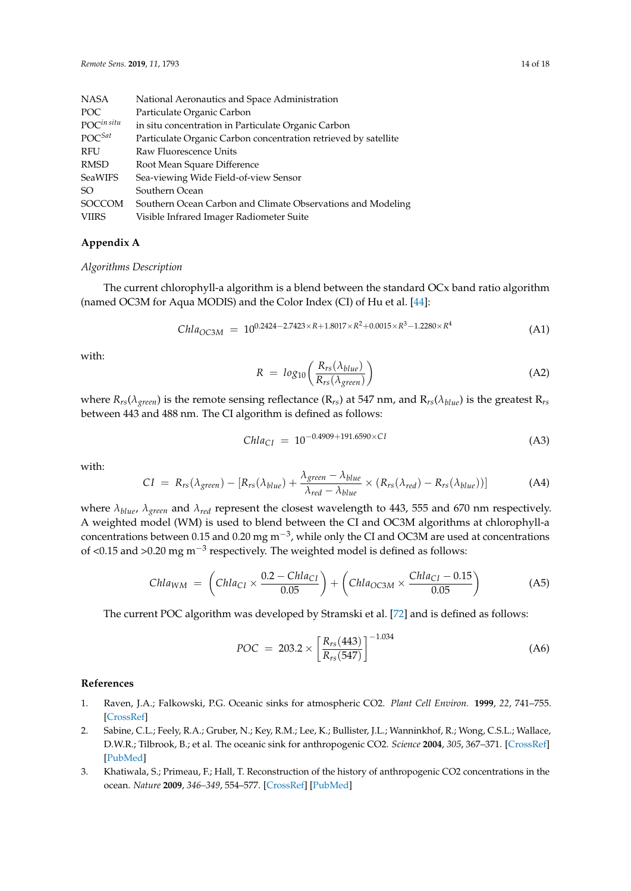| National Aeronautics and Space Administration                   |
|-----------------------------------------------------------------|
| Particulate Organic Carbon                                      |
| in situ concentration in Particulate Organic Carbon             |
| Particulate Organic Carbon concentration retrieved by satellite |
| Raw Fluorescence Units                                          |
| Root Mean Square Difference                                     |
| Sea-viewing Wide Field-of-view Sensor                           |
| Southern Ocean                                                  |
| Southern Ocean Carbon and Climate Observations and Modeling     |
| Visible Infrared Imager Radiometer Suite                        |
|                                                                 |

#### <span id="page-13-1"></span>**Appendix A**

#### *Algorithms Description*

The current chlorophyll-a algorithm is a blend between the standard OCx band ratio algorithm (named OC3M for Aqua MODIS) and the Color Index (CI) of Hu et al. [\[44\]](#page-15-17):

$$
Chla_{OC3M} = 10^{0.2424 - 2.7423 \times R + 1.8017 \times R^2 + 0.0015 \times R^3 - 1.2280 \times R^4}
$$
 (A1)

with:

$$
R = log_{10}\left(\frac{R_{rs}(\lambda_{blue})}{R_{rs}(\lambda_{green})}\right)
$$
(A2)

where  $R_{rs}(\lambda_{green})$  is the remote sensing reflectance ( $R_{rs}$ ) at 547 nm, and  $R_{rs}(\lambda_{blue})$  is the greatest  $R_{rs}$ between 443 and 488 nm. The CI algorithm is defined as follows:

$$
Chla_{CI} = 10^{-0.4909 + 191.6590 \times CI} \tag{A3}
$$

with:

$$
CI = R_{rs}(\lambda_{green}) - [R_{rs}(\lambda_{blue}) + \frac{\lambda_{green} - \lambda_{blue}}{\lambda_{red} - \lambda_{blue}} \times (R_{rs}(\lambda_{red}) - R_{rs}(\lambda_{blue}))]
$$
(A4)

where *λblue*, *λgreen* and *λred* represent the closest wavelength to 443, 555 and 670 nm respectively. A weighted model (WM) is used to blend between the CI and OC3M algorithms at chlorophyll-a concentrations between 0.15 and 0.20 mg m<sup>-3</sup>, while only the CI and OC3M are used at concentrations of <0.15 and >0.20 mg m<sup>-3</sup> respectively. The weighted model is defined as follows:

$$
Chla_{WM} = \left( Chla_{CI} \times \frac{0.2 - Chla_{CI}}{0.05} \right) + \left( Chla_{OC3M} \times \frac{Chla_{CI} - 0.15}{0.05} \right) \tag{A5}
$$

The current POC algorithm was developed by Stramski et al. [\[72\]](#page-17-4) and is defined as follows:

$$
POC = 203.2 \times \left[ \frac{R_{rs}(443)}{R_{rs}(547)} \right]^{-1.034}
$$
 (A6)

#### **References**

- <span id="page-13-0"></span>1. Raven, J.A.; Falkowski, P.G. Oceanic sinks for atmospheric CO2. *Plant Cell Environ.* **1999**, *22*, 741–755. [\[CrossRef\]](http://dx.doi.org/10.1046/j.1365-3040.1999.00419.x)
- 2. Sabine, C.L.; Feely, R.A.; Gruber, N.; Key, R.M.; Lee, K.; Bullister, J.L.; Wanninkhof, R.; Wong, C.S.L.; Wallace, D.W.R.; Tilbrook, B.; et al. The oceanic sink for anthropogenic CO2. *Science* **2004**, *305*, 367–371. [\[CrossRef\]](http://dx.doi.org/10.1126/science.1097403) [\[PubMed\]](http://www.ncbi.nlm.nih.gov/pubmed/15256665)
- 3. Khatiwala, S.; Primeau, F.; Hall, T. Reconstruction of the history of anthropogenic CO2 concentrations in the ocean. *Nature* **2009**, *346–349*, 554–577. [\[CrossRef\]](http://dx.doi.org/10.1038/nature08526) [\[PubMed\]](http://www.ncbi.nlm.nih.gov/pubmed/19924213)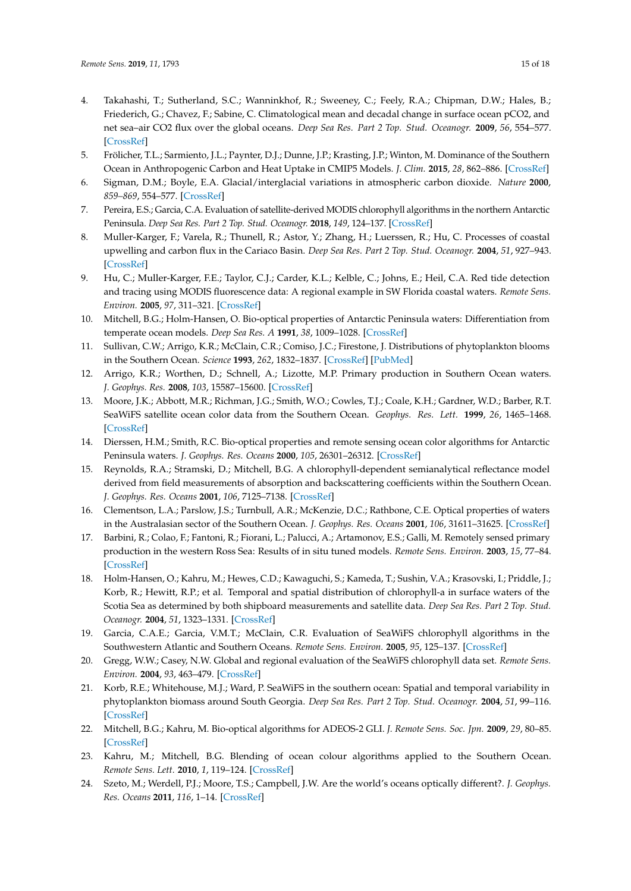- 4. Takahashi, T.; Sutherland, S.C.; Wanninkhof, R.; Sweeney, C.; Feely, R.A.; Chipman, D.W.; Hales, B.; Friederich, G.; Chavez, F.; Sabine, C. Climatological mean and decadal change in surface ocean pCO2, and net sea–air CO2 flux over the global oceans. *Deep Sea Res. Part 2 Top. Stud. Oceanogr.* **2009**, *56*, 554–577. [\[CrossRef\]](http://dx.doi.org/10.1016/j.dsr2.2008.12.009)
- <span id="page-14-0"></span>5. Frölicher, T.L.; Sarmiento, J.L.; Paynter, D.J.; Dunne, J.P.; Krasting, J.P.; Winton, M. Dominance of the Southern Ocean in Anthropogenic Carbon and Heat Uptake in CMIP5 Models. *J. Clim.* **2015**, *28*, 862–886. [\[CrossRef\]](http://dx.doi.org/10.1175/JCLI-D-14-00117.1)
- <span id="page-14-1"></span>6. Sigman, D.M.; Boyle, E.A. Glacial/interglacial variations in atmospheric carbon dioxide. *Nature* **2000**, *859–869*, 554–577. [\[CrossRef\]](http://dx.doi.org/10.1038/35038000)
- <span id="page-14-2"></span>7. Pereira, E.S.; Garcia, C.A. Evaluation of satellite-derived MODIS chlorophyll algorithms in the northern Antarctic Peninsula. *Deep Sea Res. Part 2 Top. Stud. Oceanogr.* **2018**, *149*, 124–137. [\[CrossRef\]](http://dx.doi.org/10.1016/j.dsr2.2017.12.018)
- <span id="page-14-3"></span>8. Muller-Karger, F.; Varela, R.; Thunell, R.; Astor, Y.; Zhang, H.; Luerssen, R.; Hu, C. Processes of coastal upwelling and carbon flux in the Cariaco Basin. *Deep Sea Res. Part 2 Top. Stud. Oceanogr.* **2004**, *51*, 927–943. [\[CrossRef\]](http://dx.doi.org/10.1016/j.dsr2.2003.10.010)
- <span id="page-14-4"></span>9. Hu, C.; Muller-Karger, F.E.; Taylor, C.J.; Carder, K.L.; Kelble, C.; Johns, E.; Heil, C.A. Red tide detection and tracing using MODIS fluorescence data: A regional example in SW Florida coastal waters. *Remote Sens. Environ.* **2005**, *97*, 311–321. [\[CrossRef\]](http://dx.doi.org/10.1016/j.rse.2005.05.013)
- <span id="page-14-5"></span>10. Mitchell, B.G.; Holm-Hansen, O. Bio-optical properties of Antarctic Peninsula waters: Differentiation from temperate ocean models. *Deep Sea Res. A* **1991**, *38*, 1009–1028. [\[CrossRef\]](http://dx.doi.org/10.1016/0198-0149(91)90094-V)
- <span id="page-14-13"></span>11. Sullivan, C.W.; Arrigo, K.R.; McClain, C.R.; Comiso, J.C.; Firestone, J. Distributions of phytoplankton blooms in the Southern Ocean. *Science* **1993**, *262*, 1832–1837. [\[CrossRef\]](http://dx.doi.org/10.1126/science.262.5141.1832) [\[PubMed\]](http://www.ncbi.nlm.nih.gov/pubmed/17829629)
- <span id="page-14-10"></span>12. Arrigo, K.R.; Worthen, D.; Schnell, A.; Lizotte, M.P. Primary production in Southern Ocean waters. *J. Geophys. Res.* **2008**, *103*, 15587–15600. [\[CrossRef\]](http://dx.doi.org/10.1029/98JC00930)
- 13. Moore, J.K.; Abbott, M.R.; Richman, J.G.; Smith, W.O.; Cowles, T.J.; Coale, K.H.; Gardner, W.D.; Barber, R.T. SeaWiFS satellite ocean color data from the Southern Ocean. *Geophys. Res. Lett.* **1999**, *26*, 1465–1468. [\[CrossRef\]](http://dx.doi.org/10.1029/1999GL900242)
- <span id="page-14-8"></span>14. Dierssen, H.M.; Smith, R.C. Bio-optical properties and remote sensing ocean color algorithms for Antarctic Peninsula waters. *J. Geophys. Res. Oceans* **2000**, *105*, 26301–26312. [\[CrossRef\]](http://dx.doi.org/10.1029/1999JC000296)
- <span id="page-14-9"></span>15. Reynolds, R.A.; Stramski, D.; Mitchell, B.G. A chlorophyll-dependent semianalytical reflectance model derived from field measurements of absorption and backscattering coefficients within the Southern Ocean. *J. Geophys. Res. Oceans* **2001**, *106*, 7125–7138. [\[CrossRef\]](http://dx.doi.org/10.1029/1999JC000311)
- <span id="page-14-7"></span>16. Clementson, L.A.; Parslow, J.S.; Turnbull, A.R.; McKenzie, D.C.; Rathbone, C.E. Optical properties of waters in the Australasian sector of the Southern Ocean. *J. Geophys. Res. Oceans* **2001**, *106*, 31611–31625. [\[CrossRef\]](http://dx.doi.org/10.1029/2000JC000359)
- 17. Barbini, R.; Colao, F.; Fantoni, R.; Fiorani, L.; Palucci, A.; Artamonov, E.S.; Galli, M. Remotely sensed primary production in the western Ross Sea: Results of in situ tuned models. *Remote Sens. Environ.* **2003**, *15*, 77–84. [\[CrossRef\]](http://dx.doi.org/10.1017/S095410200300107X)
- <span id="page-14-6"></span>18. Holm-Hansen, O.; Kahru, M.; Hewes, C.D.; Kawaguchi, S.; Kameda, T.; Sushin, V.A.; Krasovski, I.; Priddle, J.; Korb, R.; Hewitt, R.P.; et al. Temporal and spatial distribution of chlorophyll-a in surface waters of the Scotia Sea as determined by both shipboard measurements and satellite data. *Deep Sea Res. Part 2 Top. Stud. Oceanogr.* **2004**, *51*, 1323–1331. [\[CrossRef\]](http://dx.doi.org/10.1016/j.dsr2.2004.06.004)
- 19. Garcia, C.A.E.; Garcia, V.M.T.; McClain, C.R. Evaluation of SeaWiFS chlorophyll algorithms in the Southwestern Atlantic and Southern Oceans. *Remote Sens. Environ.* **2005**, *95*, 125–137. [\[CrossRef\]](http://dx.doi.org/10.1016/j.rse.2004.12.006)
- <span id="page-14-11"></span>20. Gregg, W.W.; Casey, N.W. Global and regional evaluation of the SeaWiFS chlorophyll data set. *Remote Sens. Environ.* **2004**, *93*, 463–479. [\[CrossRef\]](http://dx.doi.org/10.1016/j.rse.2003.12.012)
- 21. Korb, R.E.; Whitehouse, M.J.; Ward, P. SeaWiFS in the southern ocean: Spatial and temporal variability in phytoplankton biomass around South Georgia. *Deep Sea Res. Part 2 Top. Stud. Oceanogr.* **2004**, *51*, 99–116. [\[CrossRef\]](http://dx.doi.org/10.1016/j.dsr2.2003.04.002)
- 22. Mitchell, B.G.; Kahru, M. Bio-optical algorithms for ADEOS-2 GLI. *J. Remote Sens. Soc. Jpn.* **2009**, *29*, 80–85. [\[CrossRef\]](http://dx.doi.org/10.11440/rssj.29.80)
- <span id="page-14-14"></span>23. Kahru, M.; Mitchell, B.G. Blending of ocean colour algorithms applied to the Southern Ocean. *Remote Sens. Lett.* **2010**, *1*, 119–124. [\[CrossRef\]](http://dx.doi.org/10.1080/01431160903547940)
- <span id="page-14-12"></span>24. Szeto, M.; Werdell, P.J.; Moore, T.S.; Campbell, J.W. Are the world's oceans optically different?. *J. Geophys. Res. Oceans* **2011**, *116*, 1–14. [\[CrossRef\]](http://dx.doi.org/10.1029/2011JC007230)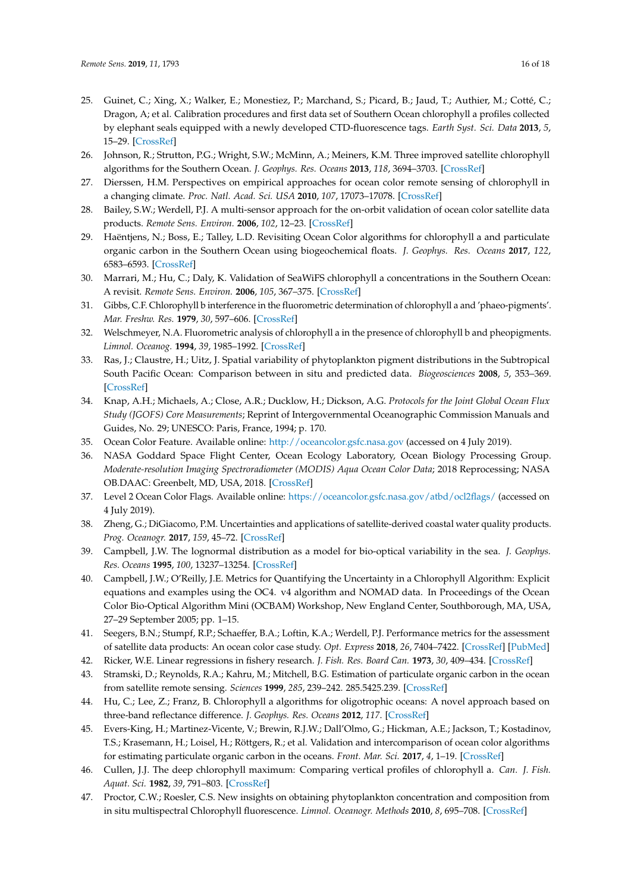- 25. Guinet, C.; Xing, X.; Walker, E.; Monestiez, P.; Marchand, S.; Picard, B.; Jaud, T.; Authier, M.; Cotté, C.; Dragon, A; et al. Calibration procedures and first data set of Southern Ocean chlorophyll a profiles collected by elephant seals equipped with a newly developed CTD-fluorescence tags. *Earth Syst. Sci. Data* **2013**, *5*, 15–29. [\[CrossRef\]](http://dx.doi.org/10.5194/essd-5-15-2013)
- <span id="page-15-0"></span>26. Johnson, R.; Strutton, P.G.; Wright, S.W.; McMinn, A.; Meiners, K.M. Three improved satellite chlorophyll algorithms for the Southern Ocean. *J. Geophys. Res. Oceans* **2013**, *118*, 3694–3703. [\[CrossRef\]](http://dx.doi.org/10.1002/jgrc.20270)
- <span id="page-15-1"></span>27. Dierssen, H.M. Perspectives on empirical approaches for ocean color remote sensing of chlorophyll in a changing climate. *Proc. Natl. Acad. Sci. USA* **2010**, *107*, 17073–17078. [\[CrossRef\]](http://dx.doi.org/10.1073/pnas.0913800107)
- <span id="page-15-2"></span>28. Bailey, S.W.; Werdell, P.J. A multi-sensor approach for the on-orbit validation of ocean color satellite data products. *Remote Sens. Environ.* **2006**, *102*, 12–23. [\[CrossRef\]](http://dx.doi.org/10.1016/j.rse.2006.01.015)
- <span id="page-15-3"></span>29. Haëntjens, N.; Boss, E.; Talley, L.D. Revisiting Ocean Color algorithms for chlorophyll a and particulate organic carbon in the Southern Ocean using biogeochemical floats. *J. Geophys. Res. Oceans* **2017**, *122*, 6583–6593. [\[CrossRef\]](http://dx.doi.org/10.1002/2017JC012844)
- <span id="page-15-4"></span>30. Marrari, M.; Hu, C.; Daly, K. Validation of SeaWiFS chlorophyll a concentrations in the Southern Ocean: A revisit. *Remote Sens. Environ.* **2006**, *105*, 367–375. [\[CrossRef\]](http://dx.doi.org/10.1016/j.rse.2006.07.008)
- <span id="page-15-5"></span>31. Gibbs, C.F. Chlorophyll b interference in the fluorometric determination of chlorophyll a and 'phaeo-pigments'. *Mar. Freshw. Res.* **1979**, *30*, 597–606. [\[CrossRef\]](http://dx.doi.org/10.1071/MF9790597)
- <span id="page-15-6"></span>32. Welschmeyer, N.A. Fluorometric analysis of chlorophyll a in the presence of chlorophyll b and pheopigments. *Limnol. Oceanog.* **1994**, *39*, 1985–1992. [\[CrossRef\]](http://dx.doi.org/10.4319/lo.1994.39.8.1985)
- <span id="page-15-7"></span>33. Ras, J.; Claustre, H.; Uitz, J. Spatial variability of phytoplankton pigment distributions in the Subtropical South Pacific Ocean: Comparison between in situ and predicted data. *Biogeosciences* **2008**, *5*, 353–369. [\[CrossRef\]](http://dx.doi.org/10.5194/bg-5-353-2008)
- <span id="page-15-8"></span>34. Knap, A.H.; Michaels, A.; Close, A.R.; Ducklow, H.; Dickson, A.G. *Protocols for the Joint Global Ocean Flux Study (JGOFS) Core Measurements*; Reprint of Intergovernmental Oceanographic Commission Manuals and Guides, No. 29; UNESCO: Paris, France, 1994; p. 170.
- <span id="page-15-9"></span>35. Ocean Color Feature. Available online: <http://oceancolor.gsfc.nasa.gov> (accessed on 4 July 2019).
- <span id="page-15-10"></span>36. NASA Goddard Space Flight Center, Ocean Ecology Laboratory, Ocean Biology Processing Group. *Moderate-resolution Imaging Spectroradiometer (MODIS) Aqua Ocean Color Data*; 2018 Reprocessing; NASA OB.DAAC: Greenbelt, MD, USA, 2018. [\[CrossRef\]](http://dx.doi.org/0.5067/AQUA/MODIS/L2/OC/2018)
- <span id="page-15-11"></span>37. Level 2 Ocean Color Flags. Available online: <https://oceancolor.gsfc.nasa.gov/atbd/ocl2flags/> (accessed on 4 July 2019).
- <span id="page-15-12"></span>38. Zheng, G.; DiGiacomo, P.M. Uncertainties and applications of satellite-derived coastal water quality products. *Prog. Oceanogr.* **2017**, *159*, 45–72. [\[CrossRef\]](http://dx.doi.org/10.1016/j.pocean.2017.08.007)
- <span id="page-15-13"></span>39. Campbell, J.W. The lognormal distribution as a model for bio-optical variability in the sea. *J. Geophys. Res. Oceans* **1995**, *100*, 13237–13254. [\[CrossRef\]](http://dx.doi.org/10.1029/95JC00458)
- 40. Campbell, J.W.; O'Reilly, J.E. Metrics for Quantifying the Uncertainty in a Chlorophyll Algorithm: Explicit equations and examples using the OC4. v4 algorithm and NOMAD data. In Proceedings of the Ocean Color Bio-Optical Algorithm Mini (OCBAM) Workshop, New England Center, Southborough, MA, USA, 27–29 September 2005; pp. 1–15.
- <span id="page-15-14"></span>41. Seegers, B.N.; Stumpf, R.P.; Schaeffer, B.A.; Loftin, K.A.; Werdell, P.J. Performance metrics for the assessment of satellite data products: An ocean color case study. *Opt. Express* **2018**, *26*, 7404–7422. [\[CrossRef\]](http://dx.doi.org/10.1364/OE.26.007404) [\[PubMed\]](http://www.ncbi.nlm.nih.gov/pubmed/29609296)
- <span id="page-15-15"></span>42. Ricker, W.E. Linear regressions in fishery research. *J. Fish. Res. Board Can.* **1973**, *30*, 409–434. [\[CrossRef\]](http://dx.doi.org/10.1139/f73-072)
- <span id="page-15-16"></span>43. Stramski, D.; Reynolds, R.A.; Kahru, M.; Mitchell, B.G. Estimation of particulate organic carbon in the ocean from satellite remote sensing. *Sciences* **1999**, *285*, 239–242. 285.5425.239. [\[CrossRef\]](http://dx.doi.org/10.1126/science.285.5425.239)
- <span id="page-15-17"></span>44. Hu, C.; Lee, Z.; Franz, B. Chlorophyll a algorithms for oligotrophic oceans: A novel approach based on three-band reflectance difference. *J. Geophys. Res. Oceans* **2012**, *117*. [\[CrossRef\]](http://dx.doi.org/10.1029/2011JC007395)
- <span id="page-15-18"></span>45. Evers-King, H.; Martinez-Vicente, V.; Brewin, R.J.W.; Dall'Olmo, G.; Hickman, A.E.; Jackson, T.; Kostadinov, T.S.; Krasemann, H.; Loisel, H.; Röttgers, R.; et al. Validation and intercomparison of ocean color algorithms for estimating particulate organic carbon in the oceans. *Front. Mar. Sci.* **2017**, *4*, 1–19. [\[CrossRef\]](http://dx.doi.org/10.3389/fmars.2017.00251)
- <span id="page-15-19"></span>46. Cullen, J.J. The deep chlorophyll maximum: Comparing vertical profiles of chlorophyll a. *Can. J. Fish. Aquat. Sci.* **1982**, *39*, 791–803. [\[CrossRef\]](http://dx.doi.org/10.1139/f82-108)
- 47. Proctor, C.W.; Roesler, C.S. New insights on obtaining phytoplankton concentration and composition from in situ multispectral Chlorophyll fluorescence. *Limnol. Oceanogr. Methods* **2010**, *8*, 695–708. [\[CrossRef\]](http://dx.doi.org/10.4319/lom.2010.8.0695)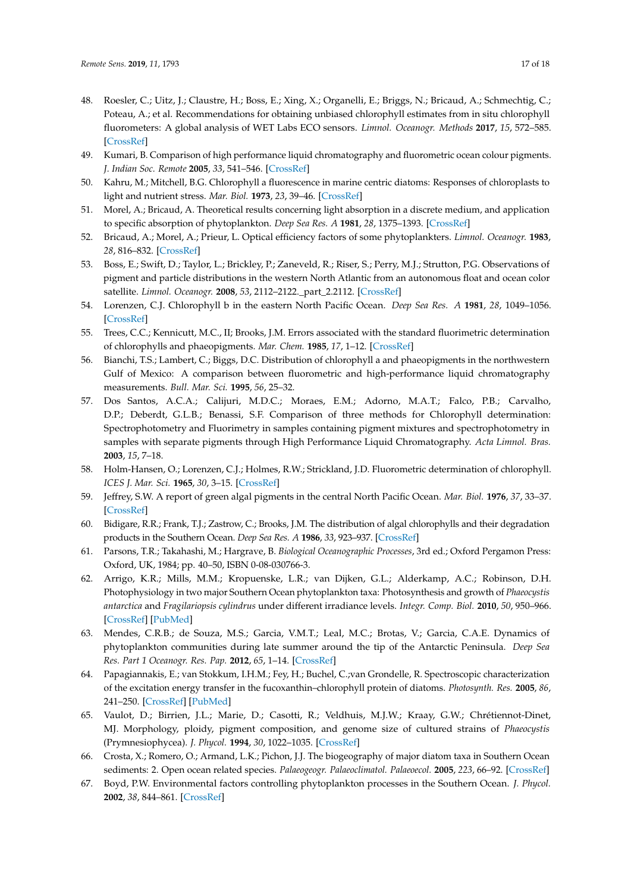- <span id="page-16-0"></span>48. Roesler, C.; Uitz, J.; Claustre, H.; Boss, E.; Xing, X.; Organelli, E.; Briggs, N.; Bricaud, A.; Schmechtig, C.; Poteau, A.; et al. Recommendations for obtaining unbiased chlorophyll estimates from in situ chlorophyll fluorometers: A global analysis of WET Labs ECO sensors. *Limnol. Oceanogr. Methods* **2017**, *15*, 572–585. [\[CrossRef\]](http://dx.doi.org/10.1002/lom3.10185)
- <span id="page-16-1"></span>49. Kumari, B. Comparison of high performance liquid chromatography and fluorometric ocean colour pigments. *J. Indian Soc. Remote* **2005**, *33*, 541–546. [\[CrossRef\]](http://dx.doi.org/10.1007/BF02990739)
- <span id="page-16-2"></span>50. Kahru, M.; Mitchell, B.G. Chlorophyll a fluorescence in marine centric diatoms: Responses of chloroplasts to light and nutrient stress. *Mar. Biol.* **1973**, *23*, 39–46. [\[CrossRef\]](http://dx.doi.org/10.1007/BF00394110)
- <span id="page-16-3"></span>51. Morel, A.; Bricaud, A. Theoretical results concerning light absorption in a discrete medium, and application to specific absorption of phytoplankton. *Deep Sea Res. A* **1981**, *28*, 1375–1393. [\[CrossRef\]](http://dx.doi.org/10.1016/0198-0149(81)90039-X)
- <span id="page-16-4"></span>52. Bricaud, A.; Morel, A.; Prieur, L. Optical efficiency factors of some phytoplankters. *Limnol. Oceanogr.* **1983**, *28*, 816–832. [\[CrossRef\]](http://dx.doi.org/10.4319/lo.1983.28.5.0816)
- <span id="page-16-5"></span>53. Boss, E.; Swift, D.; Taylor, L.; Brickley, P.; Zaneveld, R.; Riser, S.; Perry, M.J.; Strutton, P.G. Observations of pigment and particle distributions in the western North Atlantic from an autonomous float and ocean color satellite. *Limnol. Oceanogr.* **2008**, *53*, 2112–2122.\_part\_2.2112. [\[CrossRef\]](http://dx.doi.org/10.4319/lo.2008.53.5_part_2.2112)
- <span id="page-16-6"></span>54. Lorenzen, C.J. Chlorophyll b in the eastern North Pacific Ocean. *Deep Sea Res. A* **1981**, *28*, 1049–1056. [\[CrossRef\]](http://dx.doi.org/10.1016/0198-0149(81)90017-0)
- <span id="page-16-9"></span>55. Trees, C.C.; Kennicutt, M.C., II; Brooks, J.M. Errors associated with the standard fluorimetric determination of chlorophylls and phaeopigments. *Mar. Chem.* **1985**, *17*, 1–12. [\[CrossRef\]](http://dx.doi.org/10.1016/0304-4203(85)90032-5)
- 56. Bianchi, T.S.; Lambert, C.; Biggs, D.C. Distribution of chlorophyll a and phaeopigments in the northwestern Gulf of Mexico: A comparison between fluorometric and high-performance liquid chromatography measurements. *Bull. Mar. Sci.* **1995**, *56*, 25–32.
- <span id="page-16-7"></span>57. Dos Santos, A.C.A.; Calijuri, M.D.C.; Moraes, E.M.; Adorno, M.A.T.; Falco, P.B.; Carvalho, D.P.; Deberdt, G.L.B.; Benassi, S.F. Comparison of three methods for Chlorophyll determination: Spectrophotometry and Fluorimetry in samples containing pigment mixtures and spectrophotometry in samples with separate pigments through High Performance Liquid Chromatography. *Acta Limnol. Bras.* **2003**, *15*, 7–18.
- <span id="page-16-8"></span>58. Holm-Hansen, O.; Lorenzen, C.J.; Holmes, R.W.; Strickland, J.D. Fluorometric determination of chlorophyll. *ICES J. Mar. Sci.* **1965**, *30*, 3–15. [\[CrossRef\]](http://dx.doi.org/10.1093/icesjms/30.1.3)
- <span id="page-16-10"></span>59. Jeffrey, S.W. A report of green algal pigments in the central North Pacific Ocean. *Mar. Biol.* **1976**, *37*, 33–37. [\[CrossRef\]](http://dx.doi.org/10.1007/BF00386776)
- <span id="page-16-11"></span>60. Bidigare, R.R.; Frank, T.J.; Zastrow, C.; Brooks, J.M. The distribution of algal chlorophylls and their degradation products in the Southern Ocean. *Deep Sea Res. A* **1986**, *33*, 923–937. [\[CrossRef\]](http://dx.doi.org/10.1016/0198-0149(86)90007-5)
- <span id="page-16-12"></span>61. Parsons, T.R.; Takahashi, M.; Hargrave, B. *Biological Oceanographic Processes*, 3rd ed.; Oxford Pergamon Press: Oxford, UK, 1984; pp. 40–50, ISBN 0-08-030766-3.
- <span id="page-16-15"></span>62. Arrigo, K.R.; Mills, M.M.; Kropuenske, L.R.; van Dijken, G.L.; Alderkamp, A.C.; Robinson, D.H. Photophysiology in two major Southern Ocean phytoplankton taxa: Photosynthesis and growth of *Phaeocystis antarctica* and *Fragilariopsis cylindrus* under different irradiance levels. *Integr. Comp. Biol.* **2010**, *50*, 950–966. [\[CrossRef\]](http://dx.doi.org/10.1093/icb/icq021) [\[PubMed\]](http://www.ncbi.nlm.nih.gov/pubmed/21558252)
- <span id="page-16-13"></span>63. Mendes, C.R.B.; de Souza, M.S.; Garcia, V.M.T.; Leal, M.C.; Brotas, V.; Garcia, C.A.E. Dynamics of phytoplankton communities during late summer around the tip of the Antarctic Peninsula. *Deep Sea Res. Part 1 Oceanogr. Res. Pap.* **2012**, *65*, 1–14. [\[CrossRef\]](http://dx.doi.org/10.1016/j.dsr.2012.03.002)
- <span id="page-16-14"></span>64. Papagiannakis, E.; van Stokkum, I.H.M.; Fey, H.; Buchel, C.;van Grondelle, R. Spectroscopic characterization of the excitation energy transfer in the fucoxanthin–chlorophyll protein of diatoms. *Photosynth. Res.* **2005**, *86*, 241–250. [\[CrossRef\]](http://dx.doi.org/10.1007/s11120-005-1003-8) [\[PubMed\]](http://www.ncbi.nlm.nih.gov/pubmed/16172942)
- <span id="page-16-16"></span>65. Vaulot, D.; Birrien, J.L.; Marie, D.; Casotti, R.; Veldhuis, M.J.W.; Kraay, G.W.; Chrétiennot-Dinet, MJ. Morphology, ploidy, pigment composition, and genome size of cultured strains of *Phaeocystis* (Prymnesiophycea). *J. Phycol.* **1994**, *30*, 1022–1035. [\[CrossRef\]](http://dx.doi.org/10.1111/j.0022-3646.1994.01022.x)
- <span id="page-16-17"></span>66. Crosta, X.; Romero, O.; Armand, L.K.; Pichon, J.J. The biogeography of major diatom taxa in Southern Ocean sediments: 2. Open ocean related species. *Palaeogeogr. Palaeoclimatol. Palaeoecol.* **2005**, *223*, 66–92. [\[CrossRef\]](http://dx.doi.org/10.1016/j.palaeo.2005.03.028)
- <span id="page-16-18"></span>67. Boyd, P.W. Environmental factors controlling phytoplankton processes in the Southern Ocean. *J. Phycol.* **2002**, *38*, 844–861. [\[CrossRef\]](http://dx.doi.org/10.1046/j.1529-8817.2002.t01-1-01203.x)